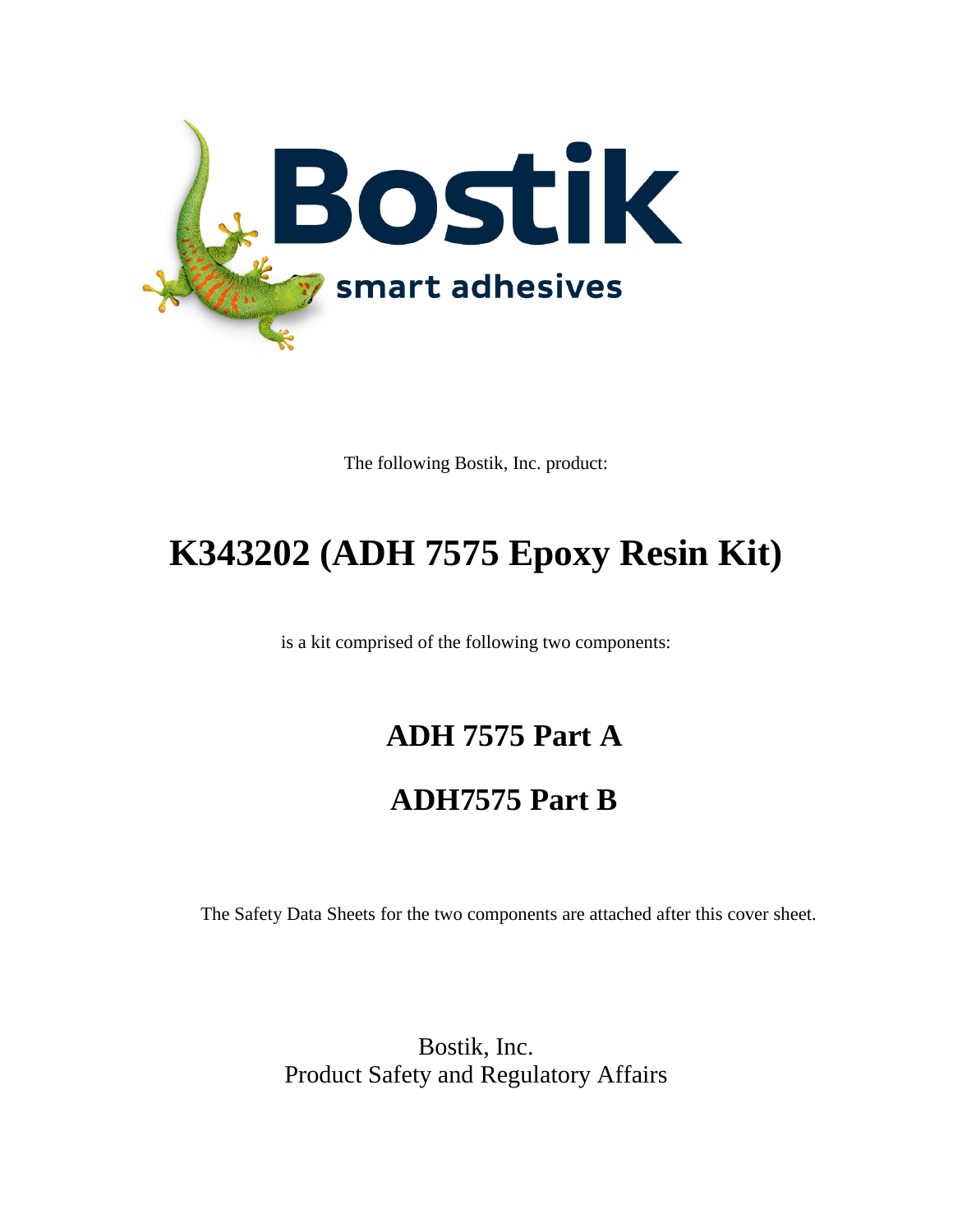

The following Bostik, Inc. product:

# **K343202 (ADH 7575 Epoxy Resin Kit)**

is a kit comprised of the following two components:

# **ADH 7575 Part A**

# **ADH7575 Part B**

The Safety Data Sheets for the two components are attached after this cover sheet.

Bostik, Inc. Product Safety and Regulatory Affairs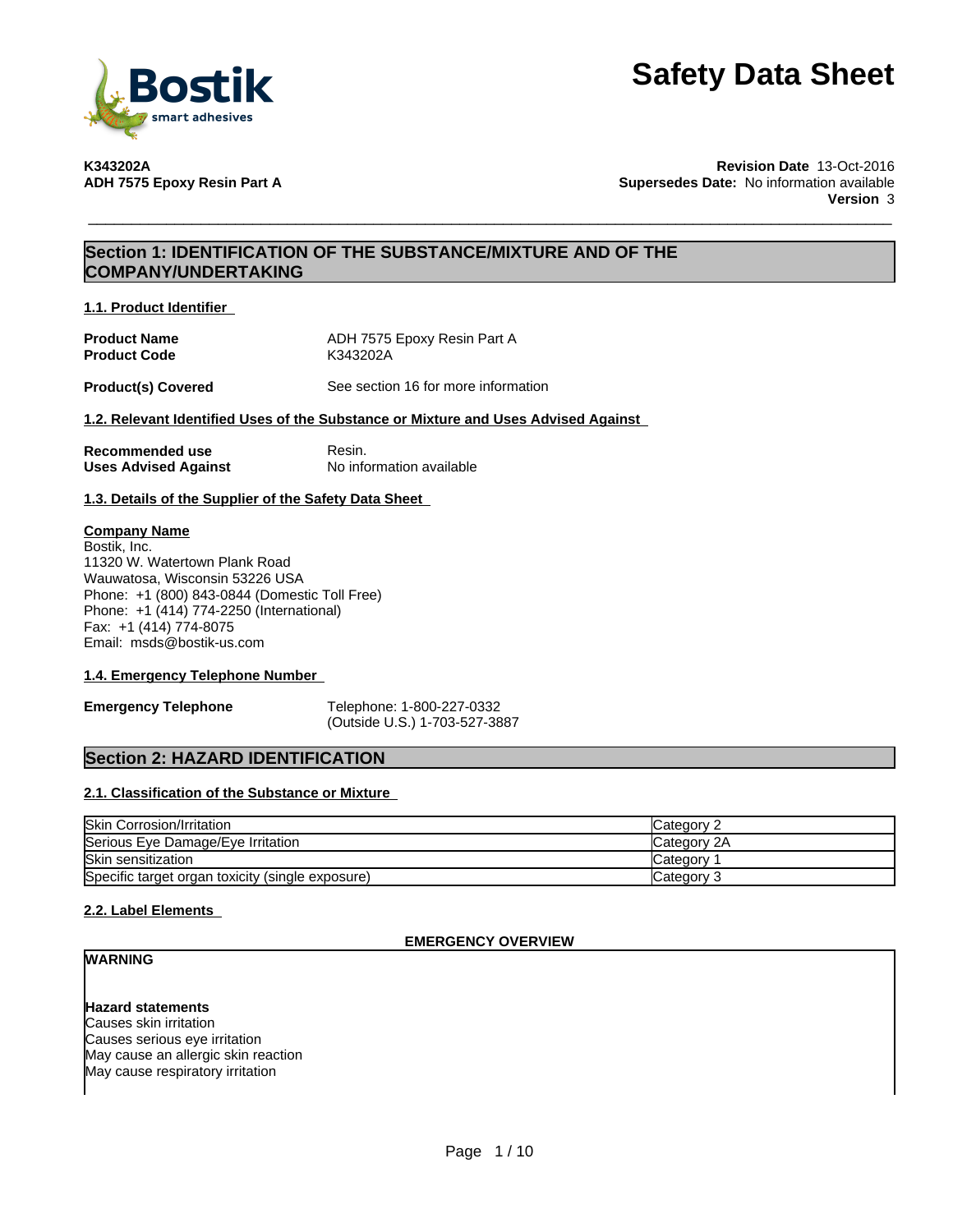

**K343202A Revision Date** 13-Oct-2016 **Supersedes Date:** No information available **Version** 3

## **Section 1: IDENTIFICATION OF THE SUBSTANCE/MIXTURE AND OF THE COMPANY/UNDERTAKING**

**1.1. Product Identifier**

| <b>Product Name</b> | ADH 7575 Epoxy Resin Part A |
|---------------------|-----------------------------|
| <b>Product Code</b> | K343202A                    |

**Product(s) Covered** See section 16 for more information

#### **1.2. Relevant Identified Uses of the Substance or Mixture and Uses Advised Against**

| Recommended use             | Resin.                   |
|-----------------------------|--------------------------|
| <b>Uses Advised Against</b> | No information available |

**1.3. Details of the Supplier of the Safety Data Sheet**

#### **Company Name**

Bostik, Inc. 11320 W. Watertown Plank Road Wauwatosa, Wisconsin 53226 USA Phone: +1 (800) 843-0844 (Domestic Toll Free) Phone: +1 (414) 774-2250 (International) Fax: +1 (414) 774-8075 Email: msds@bostik-us.com

#### **1.4. Emergency Telephone Number**

**Emergency Telephone** Telephone: 1-800-227-0332 (Outside U.S.) 1-703-527-3887

### **Section 2: HAZARD IDENTIFICATION**

#### **2.1. Classification of the Substance or Mixture**

| <b>Skin Corrosion/Irritation</b>                 | Category    |
|--------------------------------------------------|-------------|
| Serious Eye Damage/Eye Irritation                | Category 2A |
| Skin sensitization                               | lCategorv   |
| Specific target organ toxicity (single exposure) | Category 3  |

### **2.2. Label Elements**

#### **EMERGENCY OVERVIEW**

# **WARNING**

## **Hazard statements**

Causes skin irritation Causes serious eye irritation May cause an allergic skin reaction May cause respiratory irritation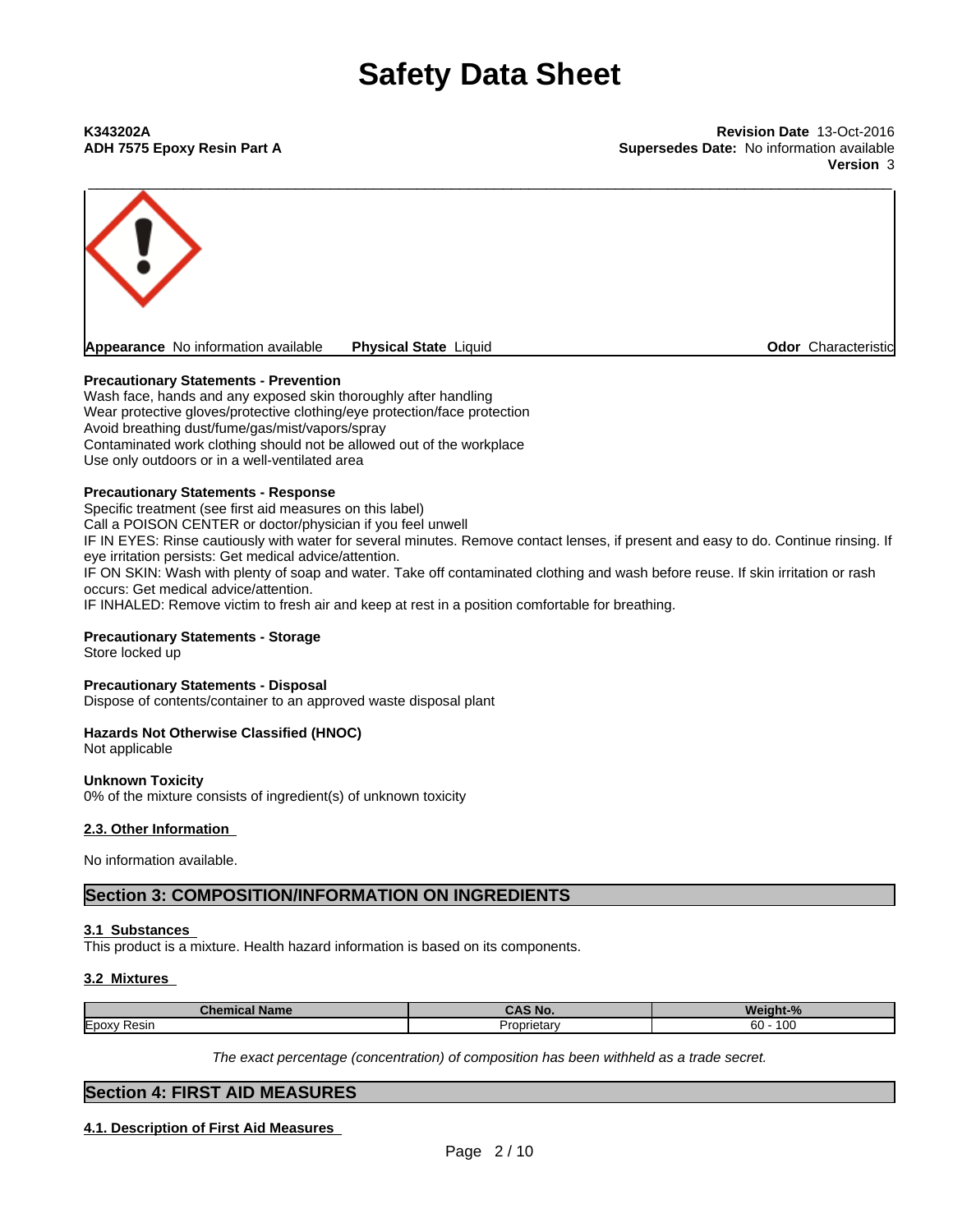**ADH 7575 Epoxy Resin Part A Supersedes Date:** No information available **Version** 3



#### **Precautionary Statements - Prevention**

Wash face, hands and any exposed skin thoroughly after handling Wear protective gloves/protective clothing/eye protection/face protection Avoid breathing dust/fume/gas/mist/vapors/spray Contaminated work clothing should not be allowed out of the workplace Use only outdoors or in a well-ventilated area

#### **Precautionary Statements - Response**

Specific treatment (see first aid measures on this label) Call a POISON CENTER or doctor/physician if you feel unwell IF IN EYES: Rinse cautiously with water for several minutes. Remove contact lenses, if present and easy to do. Continue rinsing. If eye irritation persists: Get medical advice/attention. IF ON SKIN: Wash with plenty of soap and water. Take off contaminated clothing and wash before reuse. If skin irritation or rash occurs: Get medical advice/attention. IF INHALED: Remove victim to fresh air and keep at rest in a position comfortable for breathing.

### **Precautionary Statements - Storage**

Store locked up

#### **Precautionary Statements - Disposal**

Dispose of contents/container to an approved waste disposal plant

#### **Hazards Not Otherwise Classified (HNOC)**

Not applicable

#### **Unknown Toxicity**

0% of the mixture consists of ingredient(s) of unknown toxicity

#### **2.3. Other Information**

No information available.

**Section 3: COMPOSITION/INFORMATION ON INGREDIENTS**

#### **3.1 Substances**

This product is a mixture. Health hazard information is based on its components.

#### **3.2 Mixtures**

| Name<br>. .<br>---- |      | 70             |  |
|---------------------|------|----------------|--|
| $-$                 | へもへい | $\overline{A}$ |  |
| <b>IE</b> poxy      | зιаι | 60             |  |
| Resir               | ື    | า∪เ            |  |

*The exact percentage (concentration) ofcomposition has been withheld as a trade secret.*

### **Section 4: FIRST AID MEASURES**

**4.1. Description of First Aid Measures**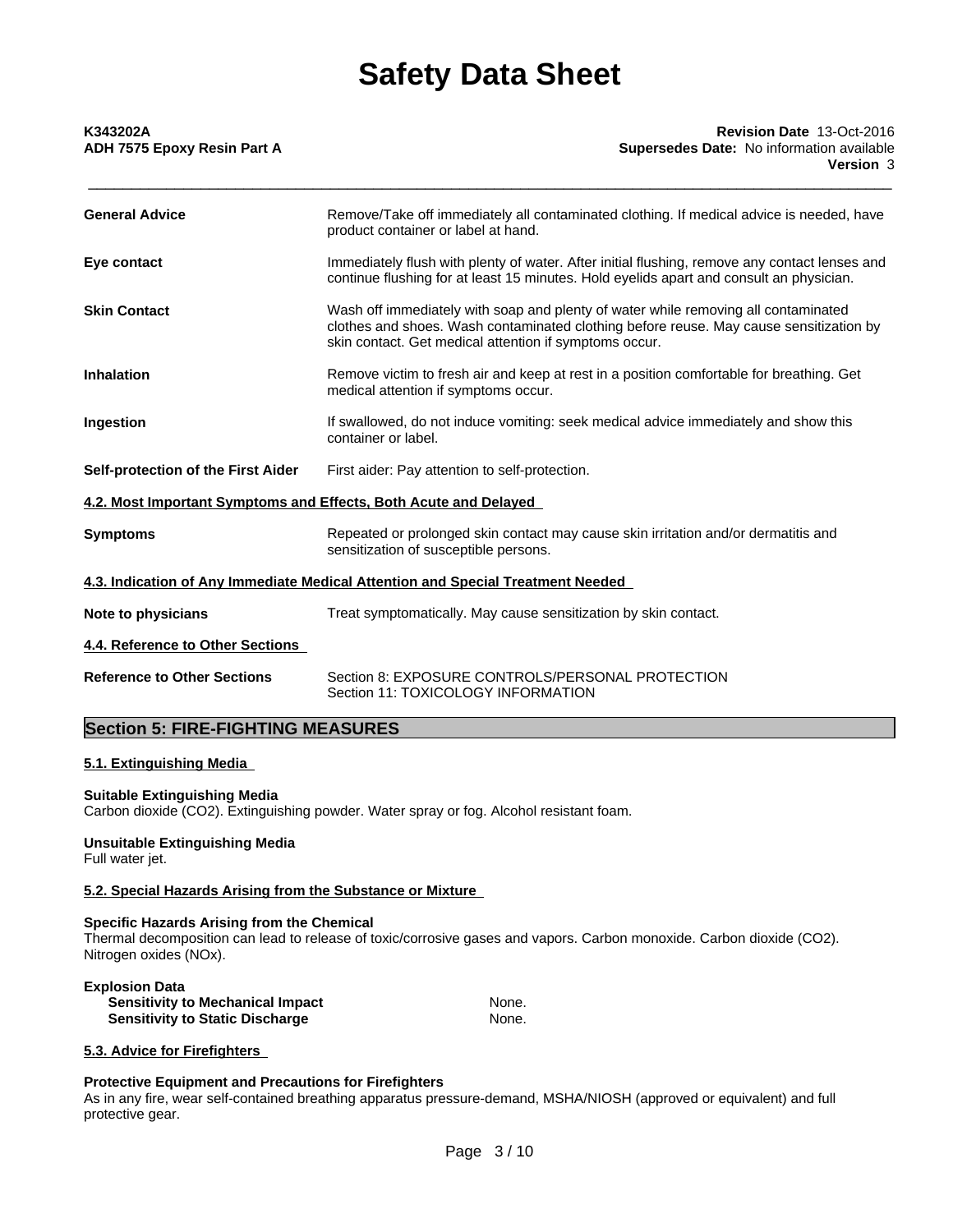| <b>General Advice</b><br>Remove/Take off immediately all contaminated clothing. If medical advice is needed, have<br>product container or label at hand.                                                                                                      |
|---------------------------------------------------------------------------------------------------------------------------------------------------------------------------------------------------------------------------------------------------------------|
|                                                                                                                                                                                                                                                               |
| Immediately flush with plenty of water. After initial flushing, remove any contact lenses and<br>Eye contact<br>continue flushing for at least 15 minutes. Hold eyelids apart and consult an physician.                                                       |
| Wash off immediately with soap and plenty of water while removing all contaminated<br><b>Skin Contact</b><br>clothes and shoes. Wash contaminated clothing before reuse. May cause sensitization by<br>skin contact. Get medical attention if symptoms occur. |
| Remove victim to fresh air and keep at rest in a position comfortable for breathing. Get<br><b>Inhalation</b><br>medical attention if symptoms occur.                                                                                                         |
| If swallowed, do not induce vomiting: seek medical advice immediately and show this<br>Ingestion<br>container or label.                                                                                                                                       |
| Self-protection of the First Aider<br>First aider: Pay attention to self-protection.                                                                                                                                                                          |
| 4.2. Most Important Symptoms and Effects, Both Acute and Delayed                                                                                                                                                                                              |
| Repeated or prolonged skin contact may cause skin irritation and/or dermatitis and<br><b>Symptoms</b><br>sensitization of susceptible persons.                                                                                                                |
| 4.3. Indication of Any Immediate Medical Attention and Special Treatment Needed                                                                                                                                                                               |
| Treat symptomatically. May cause sensitization by skin contact.<br>Note to physicians                                                                                                                                                                         |
| 4.4. Reference to Other Sections                                                                                                                                                                                                                              |
| Section 8: EXPOSURE CONTROLS/PERSONAL PROTECTION<br><b>Reference to Other Sections</b><br>Section 11: TOXICOLOGY INFORMATION                                                                                                                                  |

## **Section 5: FIRE-FIGHTING MEASURES**

### **5.1. Extinguishing Media**

#### **Suitable Extinguishing Media**

Carbon dioxide (CO2). Extinguishing powder. Water spray or fog. Alcohol resistant foam.

# **Unsuitable Extinguishing Media**

Full water jet.

#### **5.2. Special Hazards Arising from the Substance or Mixture**

#### **Specific Hazards Arising from the Chemical**

Thermal decomposition can lead to release of toxic/corrosive gases and vapors. Carbon monoxide. Carbon dioxide (CO2). Nitrogen oxides (NOx).

#### **Explosion Data Sensitivity to Mechanical Impact Sensitivity to Static Discharge Mone. Sensitivity to Static Discharge Mone. Sensitivity to Static Discharge**

#### **5.3. Advice for Firefighters**

#### **Protective Equipment and Precautions for Firefighters**

As in any fire, wear self-contained breathing apparatus pressure-demand, MSHA/NIOSH (approved or equivalent) and full protective gear.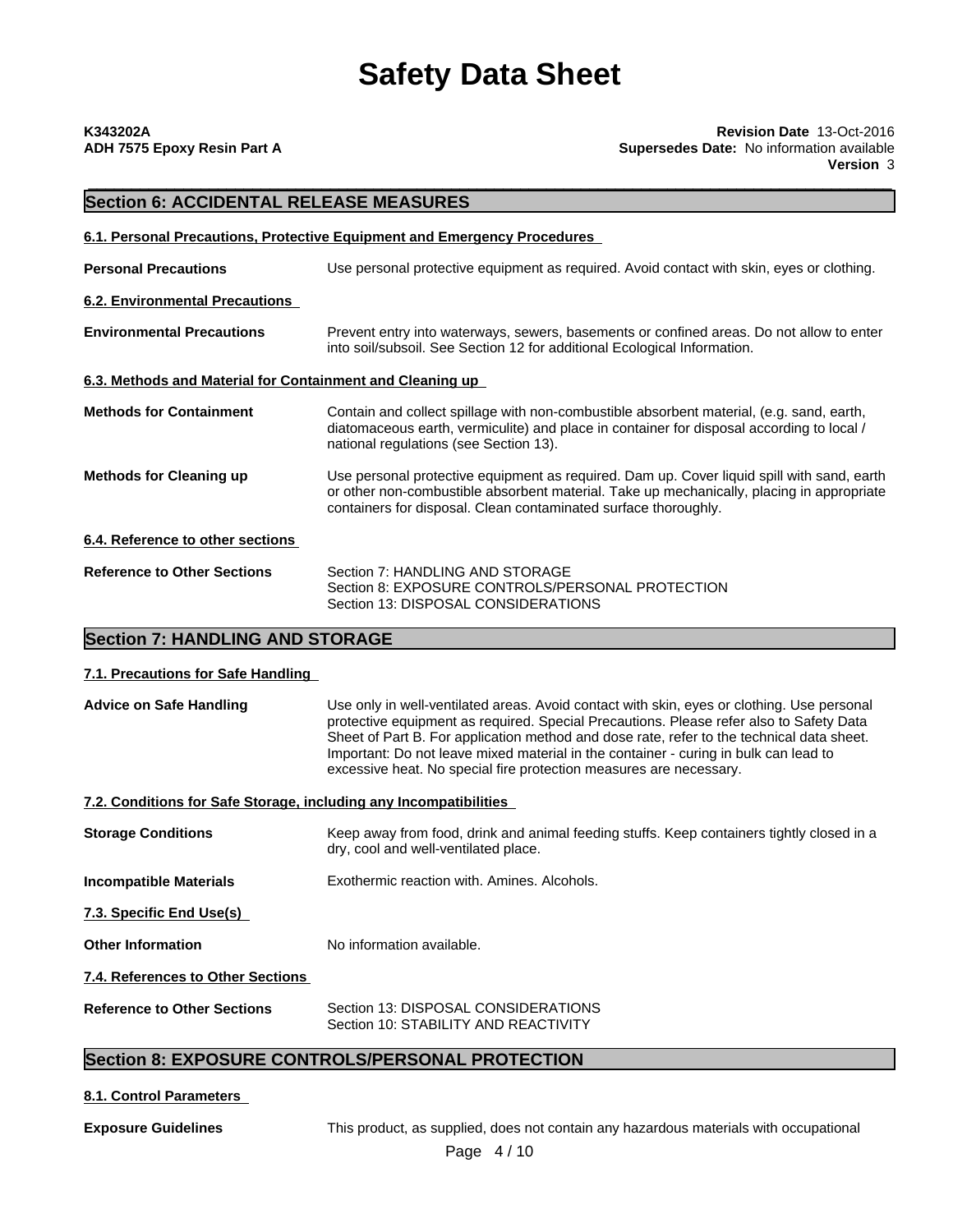| K343202A                    |  |  |
|-----------------------------|--|--|
| ADH 7575 Epoxy Resin Part A |  |  |

\_\_\_\_\_\_\_\_\_\_\_\_\_\_\_\_\_\_\_\_\_\_\_\_\_\_\_\_\_\_\_\_\_\_\_\_\_\_\_\_\_\_\_\_\_\_\_\_\_\_\_\_\_\_\_\_\_\_\_\_\_\_\_\_\_\_\_\_\_\_\_\_\_\_\_\_\_\_\_\_\_\_\_\_\_\_\_\_\_\_\_\_\_ **K343202A Revision Date** 13-Oct-2016 **Supersedes Date:** No information available **Version** 3

# **Section 6: ACCIDENTAL RELEASE MEASURES**

|                                                           | 6.1. Personal Precautions, Protective Equipment and Emergency Procedures                                                                                                                                                                                   |
|-----------------------------------------------------------|------------------------------------------------------------------------------------------------------------------------------------------------------------------------------------------------------------------------------------------------------------|
| <b>Personal Precautions</b>                               | Use personal protective equipment as required. Avoid contact with skin, eyes or clothing.                                                                                                                                                                  |
| 6.2. Environmental Precautions                            |                                                                                                                                                                                                                                                            |
| <b>Environmental Precautions</b>                          | Prevent entry into waterways, sewers, basements or confined areas. Do not allow to enter<br>into soil/subsoil. See Section 12 for additional Ecological Information.                                                                                       |
| 6.3. Methods and Material for Containment and Cleaning up |                                                                                                                                                                                                                                                            |
| <b>Methods for Containment</b>                            | Contain and collect spillage with non-combustible absorbent material, (e.g. sand, earth,<br>diatomaceous earth, vermiculite) and place in container for disposal according to local /<br>national regulations (see Section 13).                            |
| <b>Methods for Cleaning up</b>                            | Use personal protective equipment as required. Dam up. Cover liquid spill with sand, earth<br>or other non-combustible absorbent material. Take up mechanically, placing in appropriate<br>containers for disposal. Clean contaminated surface thoroughly. |
| 6.4. Reference to other sections                          |                                                                                                                                                                                                                                                            |
| <b>Reference to Other Sections</b>                        | Section 7: HANDLING AND STORAGE<br>Section 8: EXPOSURE CONTROLS/PERSONAL PROTECTION<br>Section 13: DISPOSAL CONSIDERATIONS                                                                                                                                 |

### **Section 7: HANDLING AND STORAGE**

#### **7.1. Precautions for Safe Handling**

**Advice on Safe Handling** Use only in well-ventilated areas. Avoid contact with skin, eyes or clothing. Use personal protective equipment as required. Special Precautions. Please refer also to Safety Data Sheet of Part B. For application method and dose rate, refer to the technical data sheet. Important: Do not leave mixed material in the container - curing in bulk can lead to excessive heat. No special fire protection measures are necessary.

### **7.2. Conditions for Safe Storage, including any Incompatibilities**

#### **Storage Conditions** Keep away from food, drink and animal feeding stuffs. Keep containers tightly closed in a dry, cool and well-ventilated place.

**Incompatible Materials Exothermic reaction with. Amines. Alcohols.** 

**7.3. Specific End Use(s)**

**Other Information** No information available.

**7.4. References to Other Sections**

| <b>Reference to Other Sections</b> | Section 13: DISPOSAL CONSIDERATIONS  |
|------------------------------------|--------------------------------------|
|                                    | Section 10: STABILITY AND REACTIVITY |

## **Section 8: EXPOSURE CONTROLS/PERSONAL PROTECTION**

### **8.1. Control Parameters**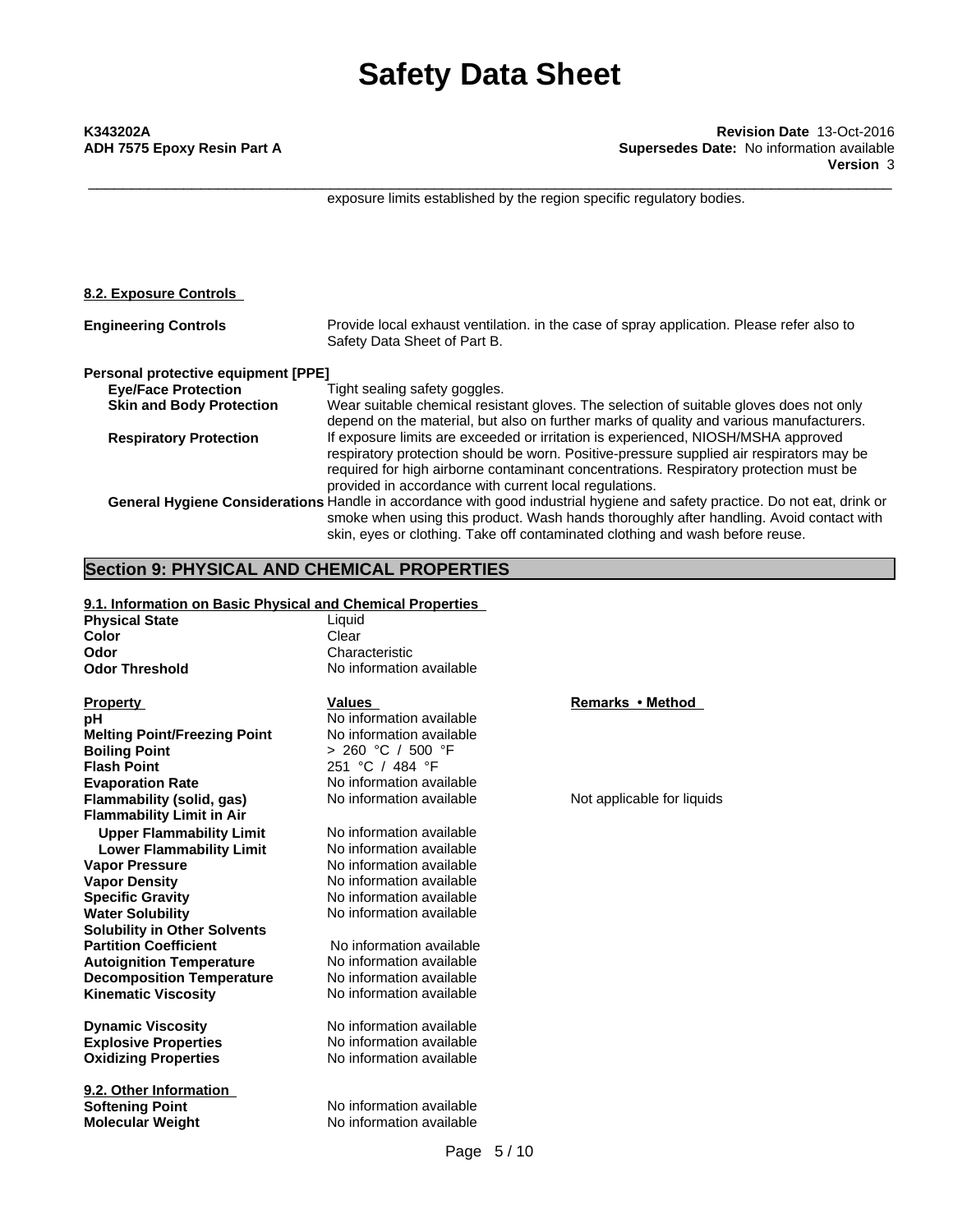\_\_\_\_\_\_\_\_\_\_\_\_\_\_\_\_\_\_\_\_\_\_\_\_\_\_\_\_\_\_\_\_\_\_\_\_\_\_\_\_\_\_\_\_\_\_\_\_\_\_\_\_\_\_\_\_\_\_\_\_\_\_\_\_\_\_\_\_\_\_\_\_\_\_\_\_\_\_\_\_\_\_\_\_\_\_\_\_\_\_\_\_\_ **K343202A Revision Date** 13-Oct-2016 **ADH 7575 Epoxy Resin Part A Supersedes Date:** No information available **Version** 3

exposure limits established by the region specific regulatory bodies.

| 8.2. Exposure Controls              |                                                                                                                            |
|-------------------------------------|----------------------------------------------------------------------------------------------------------------------------|
| <b>Engineering Controls</b>         | Provide local exhaust ventilation. in the case of spray application. Please refer also to<br>Safety Data Sheet of Part B.  |
| Personal protective equipment [PPE] |                                                                                                                            |
| <b>Eye/Face Protection</b>          | Tight sealing safety goggles.                                                                                              |
| <b>Skin and Body Protection</b>     | Wear suitable chemical resistant gloves. The selection of suitable gloves does not only                                    |
|                                     | depend on the material, but also on further marks of quality and various manufacturers.                                    |
| <b>Respiratory Protection</b>       | If exposure limits are exceeded or irritation is experienced, NIOSH/MSHA approved                                          |
|                                     | respiratory protection should be worn. Positive-pressure supplied air respirators may be                                   |
|                                     | required for high airborne contaminant concentrations. Respiratory protection must be                                      |
|                                     | provided in accordance with current local regulations.                                                                     |
|                                     | General Hygiene Considerations Handle in accordance with good industrial hygiene and safety practice. Do not eat, drink or |
|                                     | smoke when using this product. Wash hands thoroughly after handling. Avoid contact with                                    |
|                                     | skin, eyes or clothing. Take off contaminated clothing and wash before reuse.                                              |

### **Section 9: PHYSICAL AND CHEMICAL PROPERTIES**

#### **9.1. Information on Basic Physical and Chemical Properties**

**Physical State Liquid**<br> **Color** Clear **Odor**<br> **Odor Threshold**<br> **Odor Threshold Characteristic Odor Threshold** 

**Property Remarks • Method Property Remarks • Method pH** No information available **Melting Point/Freezing Point** No information available **Boiling Point** > 260 °C / 500 °F **Evaporation Rate** No information available **Flammability (solid, gas)** No information available Not applicable for liquids **Flammability Limit in Air Upper Flammability Limit** No information available **Lower Flammability Limit** No information available<br> **Vapor Pressure** No information available **Vapor Density**<br> **Specific Gravity**<br> **No information available**<br>
No information available **Water Solubility** No information available **Solubility in Other Solvents Partition Coefficient No information available**<br> **Autoignition Temperature** No information available **Autoignition Temperature No information available**<br>**Decomposition Temperature No information available Decomposition Temperature Kinematic Viscosity** No information available

**Oxidizing Properties** 

**9.2. Other Information Softening Point**<br> **Molecular Weight**<br> **Molecular Weight**<br> **Molecular Weight**<br> **Molecular Weight** 

**Color** Clear Clear **No information available** 

**Flash Point** 251 °C / 484 °F

**No information available Specific Gravity** No information available

**Explosive Properties**<br> **Oxidizing Properties**<br>
No information available **Dynamic Viscosity** No information available

**No information available**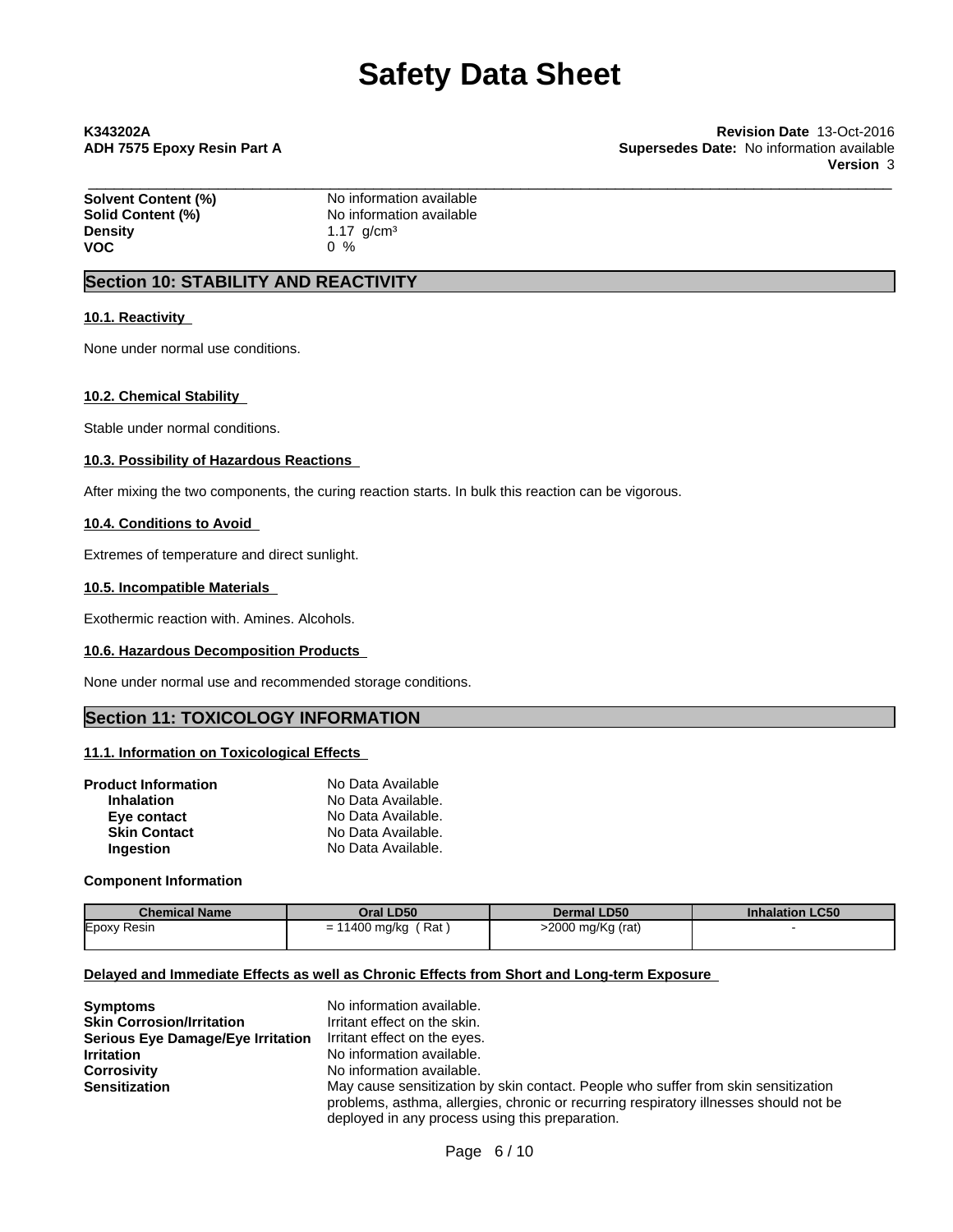\_\_\_\_\_\_\_\_\_\_\_\_\_\_\_\_\_\_\_\_\_\_\_\_\_\_\_\_\_\_\_\_\_\_\_\_\_\_\_\_\_\_\_\_\_\_\_\_\_\_\_\_\_\_\_\_\_\_\_\_\_\_\_\_\_\_\_\_\_\_\_\_\_\_\_\_\_\_\_\_\_\_\_\_\_\_\_\_\_\_\_\_\_ **K343202A Revision Date** 13-Oct-2016 **ADH 7575 Epoxy Resin Part A Supersedes Date:** No information available **Version** 3

| Solvent Content (%) | No information available       |  |
|---------------------|--------------------------------|--|
| Solid Content (%)   | No information available       |  |
| <b>Density</b>      | 1.17 $\alpha$ /cm <sup>3</sup> |  |
| <b>VOC</b>          | በ %                            |  |

## **Section 10: STABILITY AND REACTIVITY**

#### **10.1. Reactivity**

None under normal use conditions.

#### **10.2. Chemical Stability**

Stable under normal conditions.

#### **10.3. Possibility of Hazardous Reactions**

After mixing the two components, the curing reaction starts. In bulk this reaction can be vigorous.

#### **10.4. Conditions to Avoid**

Extremes of temperature and direct sunlight.

#### **10.5. Incompatible Materials**

Exothermic reaction with. Amines. Alcohols.

#### **10.6. Hazardous Decomposition Products**

None under normal use and recommended storage conditions.

### **Section 11: TOXICOLOGY INFORMATION**

#### **11.1. Information on Toxicological Effects**

| <b>Product Information</b> | No Data Available  |  |
|----------------------------|--------------------|--|
| <b>Inhalation</b>          | No Data Available. |  |
| Eye contact                | No Data Available. |  |
| <b>Skin Contact</b>        | No Data Available. |  |
| Ingestion                  | No Data Available. |  |

#### **Component Information**

| <b>Chemical Name</b> | Oral LD50             | <b>Dermal LD50</b> | <b>Inhalation LC50</b> |
|----------------------|-----------------------|--------------------|------------------------|
| Epoxy Resin          | ∵Rat j<br>11400 mg/kg | >2000 mg/Kg (rat)  |                        |
|                      |                       |                    |                        |

#### **Delayed and Immediate Effects as well as Chronic Effects from Short and Long-term Exposure**

| <b>Symptoms</b>                          | No information available.                                                             |
|------------------------------------------|---------------------------------------------------------------------------------------|
| <b>Skin Corrosion/Irritation</b>         | Irritant effect on the skin.                                                          |
| <b>Serious Eye Damage/Eye Irritation</b> | Irritant effect on the eyes.                                                          |
| <b>Irritation</b>                        | No information available.                                                             |
| <b>Corrosivity</b>                       | No information available.                                                             |
| <b>Sensitization</b>                     | May cause sensitization by skin contact. People who suffer from skin sensitization    |
|                                          | problems, asthma, allergies, chronic or recurring respiratory illnesses should not be |
|                                          | deployed in any process using this preparation.                                       |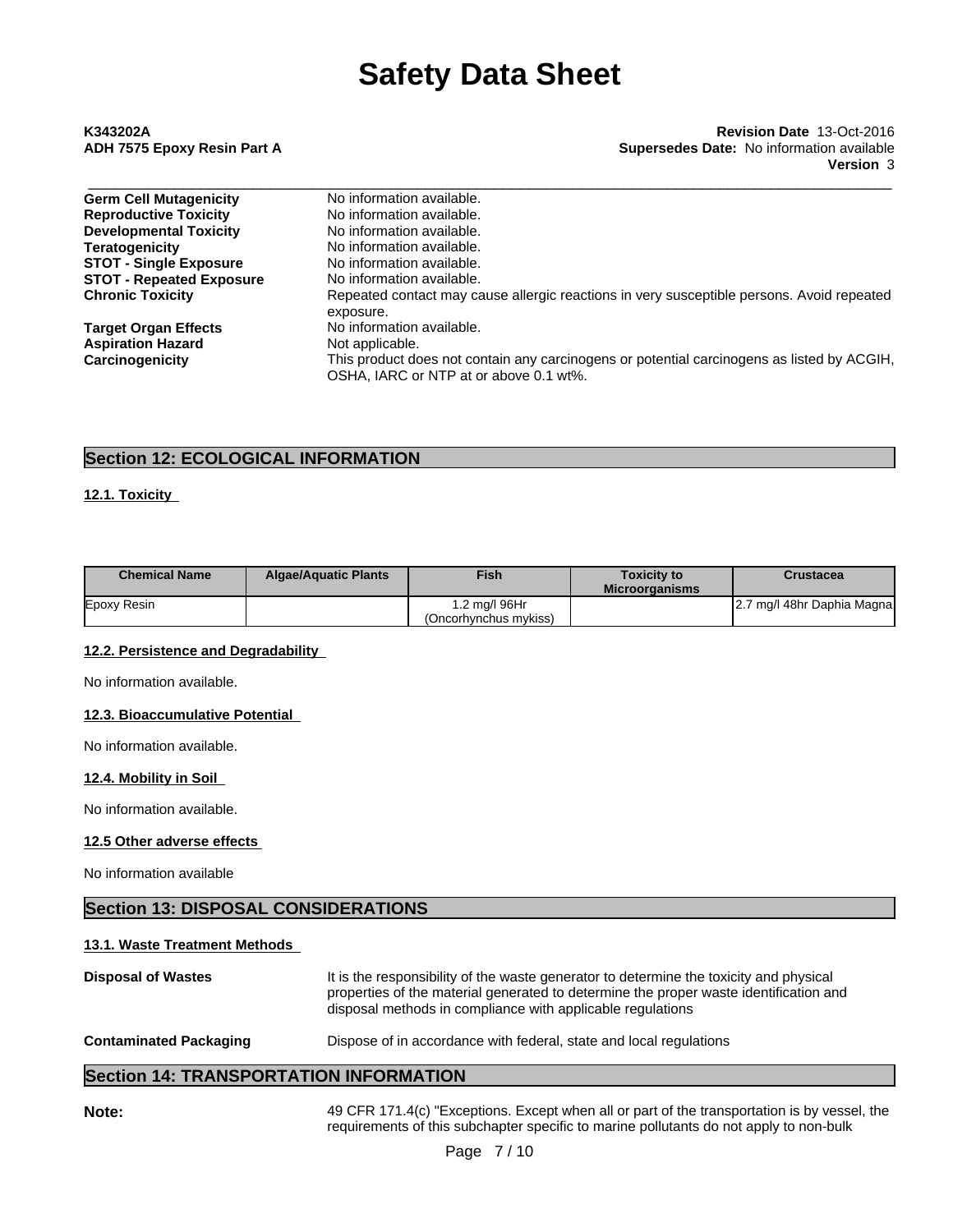# \_\_\_\_\_\_\_\_\_\_\_\_\_\_\_\_\_\_\_\_\_\_\_\_\_\_\_\_\_\_\_\_\_\_\_\_\_\_\_\_\_\_\_\_\_\_\_\_\_\_\_\_\_\_\_\_\_\_\_\_\_\_\_\_\_\_\_\_\_\_\_\_\_\_\_\_\_\_\_\_\_\_\_\_\_\_\_\_\_\_\_\_\_ **K343202A Revision Date** 13-Oct-2016 **ADH 7575 Epoxy Resin Part A Supersedes Date:** No information available **Version** 3

| <b>Germ Cell Mutagenicity</b>   | No information available.                                                                              |
|---------------------------------|--------------------------------------------------------------------------------------------------------|
| <b>Reproductive Toxicity</b>    | No information available.                                                                              |
| <b>Developmental Toxicity</b>   | No information available.                                                                              |
| <b>Teratogenicity</b>           | No information available.                                                                              |
| <b>STOT - Single Exposure</b>   | No information available.                                                                              |
| <b>STOT - Repeated Exposure</b> | No information available.                                                                              |
| <b>Chronic Toxicity</b>         | Repeated contact may cause allergic reactions in very susceptible persons. Avoid repeated<br>exposure. |
| <b>Target Organ Effects</b>     | No information available.                                                                              |
| <b>Aspiration Hazard</b>        | Not applicable.                                                                                        |
| Carcinogenicity                 | This product does not contain any carcinogens or potential carcinogens as listed by ACGIH,             |
|                                 | OSHA, IARC or NTP at or above 0.1 wt%.                                                                 |

# **Section 12: ECOLOGICAL INFORMATION**

### **12.1. Toxicity**

| <b>Chemical Name</b> | <b>Algae/Aquatic Plants</b> | Fish                                  | <b>Toxicity to</b><br><b>Microorganisms</b> | <b>Crustacea</b>           |
|----------------------|-----------------------------|---------------------------------------|---------------------------------------------|----------------------------|
| Epoxy Resin          |                             | .2 mg/l 96Hr<br>(Oncorhvnchus mvkiss) |                                             | 2.7 mg/l 48hr Daphia Magna |

### **12.2. Persistence and Degradability**

No information available.

#### **12.3. Bioaccumulative Potential**

No information available.

#### **12.4. Mobility in Soil**

No information available.

#### **12.5 Other adverse effects**

No information available

## **Section 13: DISPOSAL CONSIDERATIONS**

#### **13.1. Waste Treatment Methods**

| <b>Disposal of Wastes</b>     | It is the responsibility of the waste generator to determine the toxicity and physical<br>properties of the material generated to determine the proper waste identification and<br>disposal methods in compliance with applicable regulations |  |  |  |
|-------------------------------|-----------------------------------------------------------------------------------------------------------------------------------------------------------------------------------------------------------------------------------------------|--|--|--|
| <b>Contaminated Packaging</b> | Dispose of in accordance with federal, state and local regulations                                                                                                                                                                            |  |  |  |

## **Section 14: TRANSPORTATION INFORMATION**

49 CFR 171.4(c) "Exceptions. Except when all or part of the transportation is by vessel, the requirements of this subchapter specific to marine pollutants do not apply to non-bulk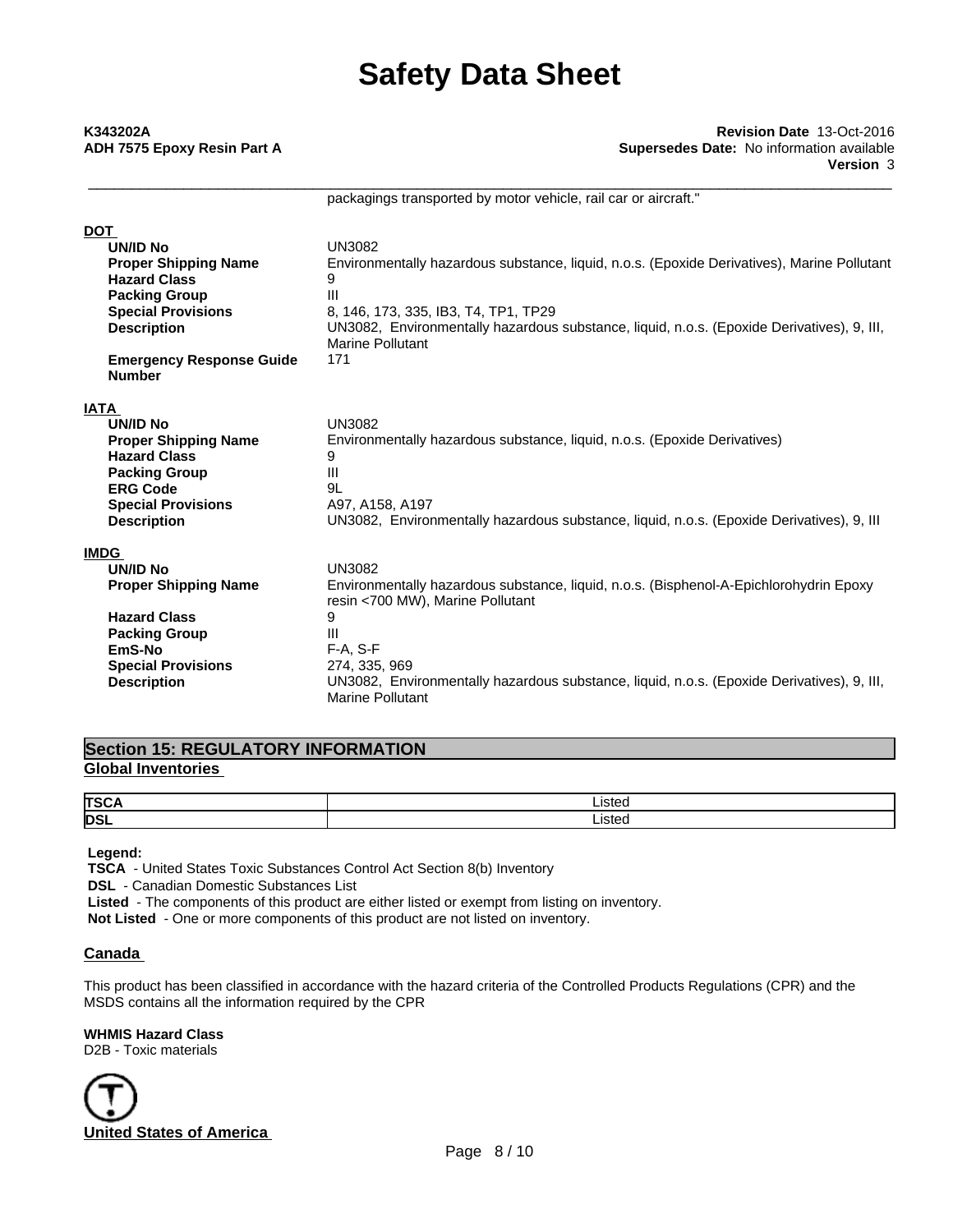# \_\_\_\_\_\_\_\_\_\_\_\_\_\_\_\_\_\_\_\_\_\_\_\_\_\_\_\_\_\_\_\_\_\_\_\_\_\_\_\_\_\_\_\_\_\_\_\_\_\_\_\_\_\_\_\_\_\_\_\_\_\_\_\_\_\_\_\_\_\_\_\_\_\_\_\_\_\_\_\_\_\_\_\_\_\_\_\_\_\_\_\_\_ **K343202A Revision Date** 13-Oct-2016 **ADH 7575 Epoxy Resin Part A Supersedes Date:** No information available **Version** 3

packagings transported by motor vehicle, rail car or aircraft."

| <b>DOT</b>                                       |                                                                                                                            |
|--------------------------------------------------|----------------------------------------------------------------------------------------------------------------------------|
| <b>UN/ID No</b>                                  | <b>UN3082</b>                                                                                                              |
| <b>Proper Shipping Name</b>                      | Environmentally hazardous substance, liquid, n.o.s. (Epoxide Derivatives), Marine Pollutant                                |
| <b>Hazard Class</b>                              | 9                                                                                                                          |
| <b>Packing Group</b>                             | Ш                                                                                                                          |
| <b>Special Provisions</b>                        | 8, 146, 173, 335, IB3, T4, TP1, TP29                                                                                       |
| <b>Description</b>                               | UN3082, Environmentally hazardous substance, liquid, n.o.s. (Epoxide Derivatives), 9, III,                                 |
|                                                  | Marine Pollutant                                                                                                           |
| <b>Emergency Response Guide</b><br><b>Number</b> | 171                                                                                                                        |
| <b>IATA</b>                                      |                                                                                                                            |
| <b>UN/ID No</b>                                  | <b>UN3082</b>                                                                                                              |
| <b>Proper Shipping Name</b>                      | Environmentally hazardous substance, liquid, n.o.s. (Epoxide Derivatives)                                                  |
| <b>Hazard Class</b>                              | 9                                                                                                                          |
| <b>Packing Group</b>                             | Ш                                                                                                                          |
| <b>ERG Code</b>                                  | 9L                                                                                                                         |
| <b>Special Provisions</b>                        | A97, A158, A197                                                                                                            |
| <b>Description</b>                               | UN3082, Environmentally hazardous substance, liquid, n.o.s. (Epoxide Derivatives), 9, III                                  |
| <b>IMDG</b>                                      |                                                                                                                            |
| <b>UN/ID No</b>                                  | <b>UN3082</b>                                                                                                              |
| <b>Proper Shipping Name</b>                      | Environmentally hazardous substance, liquid, n.o.s. (Bisphenol-A-Epichlorohydrin Epoxy<br>resin <700 MW), Marine Pollutant |
| <b>Hazard Class</b>                              | 9                                                                                                                          |
| <b>Packing Group</b>                             | Ш                                                                                                                          |
| EmS-No                                           | $F-A. S-F$                                                                                                                 |
| <b>Special Provisions</b>                        | 274, 335, 969                                                                                                              |
| <b>Description</b>                               | UN3082, Environmentally hazardous substance, liquid, n.o.s. (Epoxide Derivatives), 9, III,<br><b>Marine Pollutant</b>      |

## **Section 15: REGULATORY INFORMATION Global Inventories**

| <b>TSCA</b> | Listed |
|-------------|--------|
| <b>DSL</b>  | Listed |

 **Legend:**

 **TSCA** - United States Toxic Substances Control Act Section 8(b) Inventory

 **DSL** - Canadian Domestic Substances List

 **Listed** - The components of this product are either listed or exempt from listing on inventory.

**Not Listed** - One or more components of this product are not listed on inventory.

### **Canada**

This product has been classified in accordance with the hazard criteria of the Controlled Products Regulations (CPR) and the MSDS contains all the information required by the CPR

### **WHMIS Hazard Class**

D2B - Toxic materials

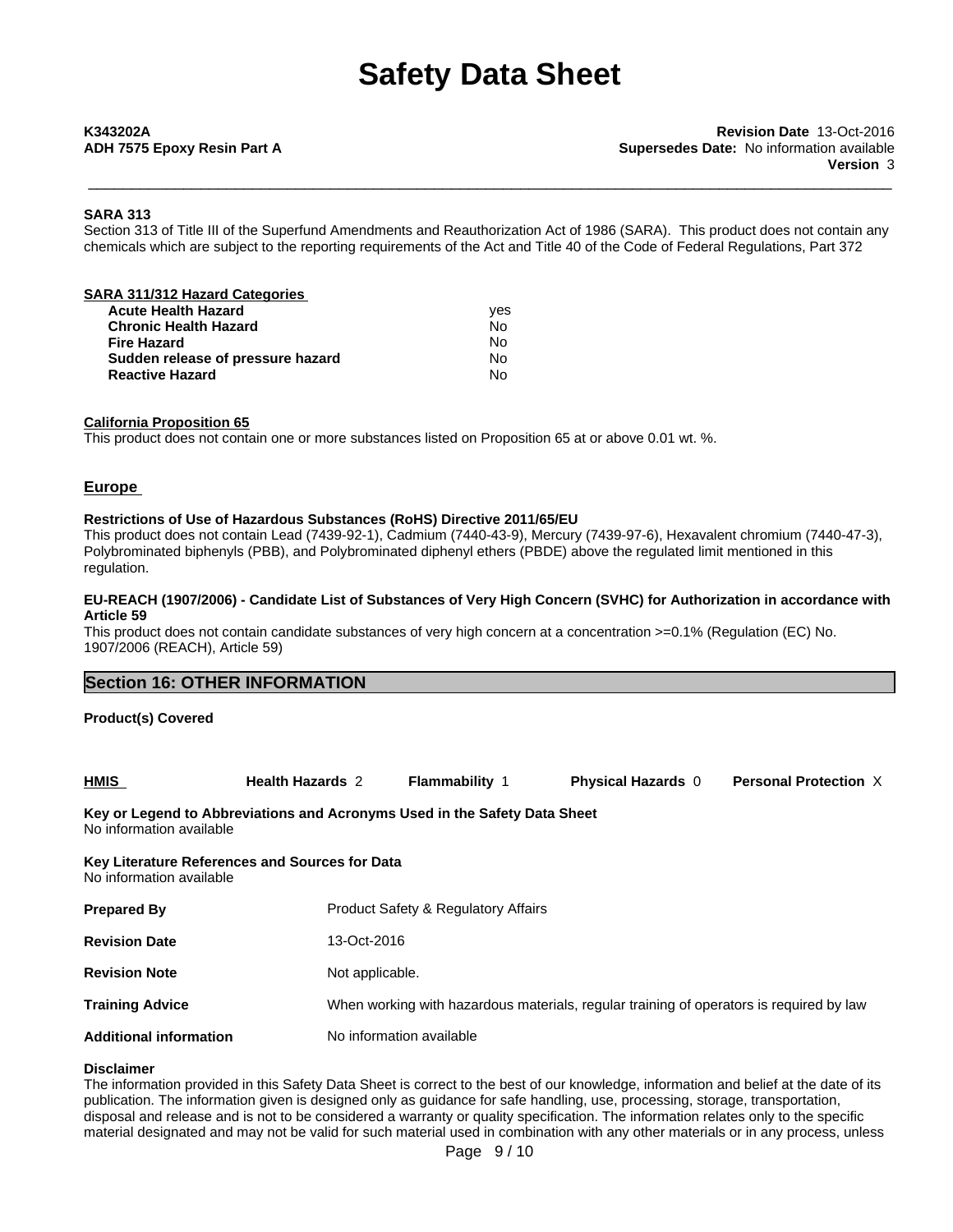\_\_\_\_\_\_\_\_\_\_\_\_\_\_\_\_\_\_\_\_\_\_\_\_\_\_\_\_\_\_\_\_\_\_\_\_\_\_\_\_\_\_\_\_\_\_\_\_\_\_\_\_\_\_\_\_\_\_\_\_\_\_\_\_\_\_\_\_\_\_\_\_\_\_\_\_\_\_\_\_\_\_\_\_\_\_\_\_\_\_\_\_\_ **K343202A Revision Date** 13-Oct-2016 **ADH 7575 Epoxy Resin Part A Supersedes Date:** No information available **Version** 3

#### **SARA 313**

Section 313 of Title III of the Superfund Amendments and Reauthorization Act of 1986 (SARA). This product does not contain any chemicals which are subject to the reporting requirements of the Act and Title 40 of the Code of Federal Regulations, Part 372

| SARA 311/312 Hazard Categories    |     |  |
|-----------------------------------|-----|--|
| <b>Acute Health Hazard</b>        | ves |  |
| <b>Chronic Health Hazard</b>      | No  |  |
| Fire Hazard                       | No  |  |
| Sudden release of pressure hazard | No  |  |
| <b>Reactive Hazard</b>            | No  |  |
|                                   |     |  |

#### **California Proposition 65**

This product does not contain one or more substances listed on Proposition 65 at or above 0.01 wt. %.

#### **Europe**

#### **Restrictions of Use of Hazardous Substances (RoHS) Directive 2011/65/EU**

This product does not contain Lead (7439-92-1), Cadmium (7440-43-9), Mercury (7439-97-6), Hexavalent chromium (7440-47-3), Polybrominated biphenyls (PBB), and Polybrominated diphenyl ethers (PBDE) above the regulated limit mentioned in this regulation.

#### EU-REACH (1907/2006) - Candidate List of Substances of Very High Concern (SVHC) for Authorization in accordance with **Article 59**

This product does not contain candidate substances of very high concern at a concentration  $>=0.1\%$  (Regulation (EC) No. 1907/2006 (REACH), Article 59)

| <b>Section 16: OTHER INFORMATION</b> |  |
|--------------------------------------|--|
|                                      |  |

#### **Product(s) Covered**

| HMIS                                                                      | <b>Health Hazards 2</b> | <b>Flammability</b> | <b>Physical Hazards</b> | <b>Personal Protection X</b> |  |
|---------------------------------------------------------------------------|-------------------------|---------------------|-------------------------|------------------------------|--|
| Key or Legend to Abbreviations and Acronyms Used in the Safety Data Sheet |                         |                     |                         |                              |  |

No information available

# **Key Literature References and Sources for Data** No information available **Prepared By** Product Safety & Regulatory Affairs **Revision Date** 13-Oct-2016 **Revision Note** Not applicable. **Training Advice Mich 2012** When working with hazardous materials, regular training of operators is required by law **Additional information** No information available

#### **Disclaimer**

The information provided in this Safety Data Sheet is correct to the best of our knowledge, information and belief at the date of its publication. The information given is designed only as guidance for safe handling, use, processing, storage, transportation, disposal and release and is not to be considered a warranty or quality specification. The information relates only to the specific material designated and may not be valid for such material used in combination with any other materials or in any process, unless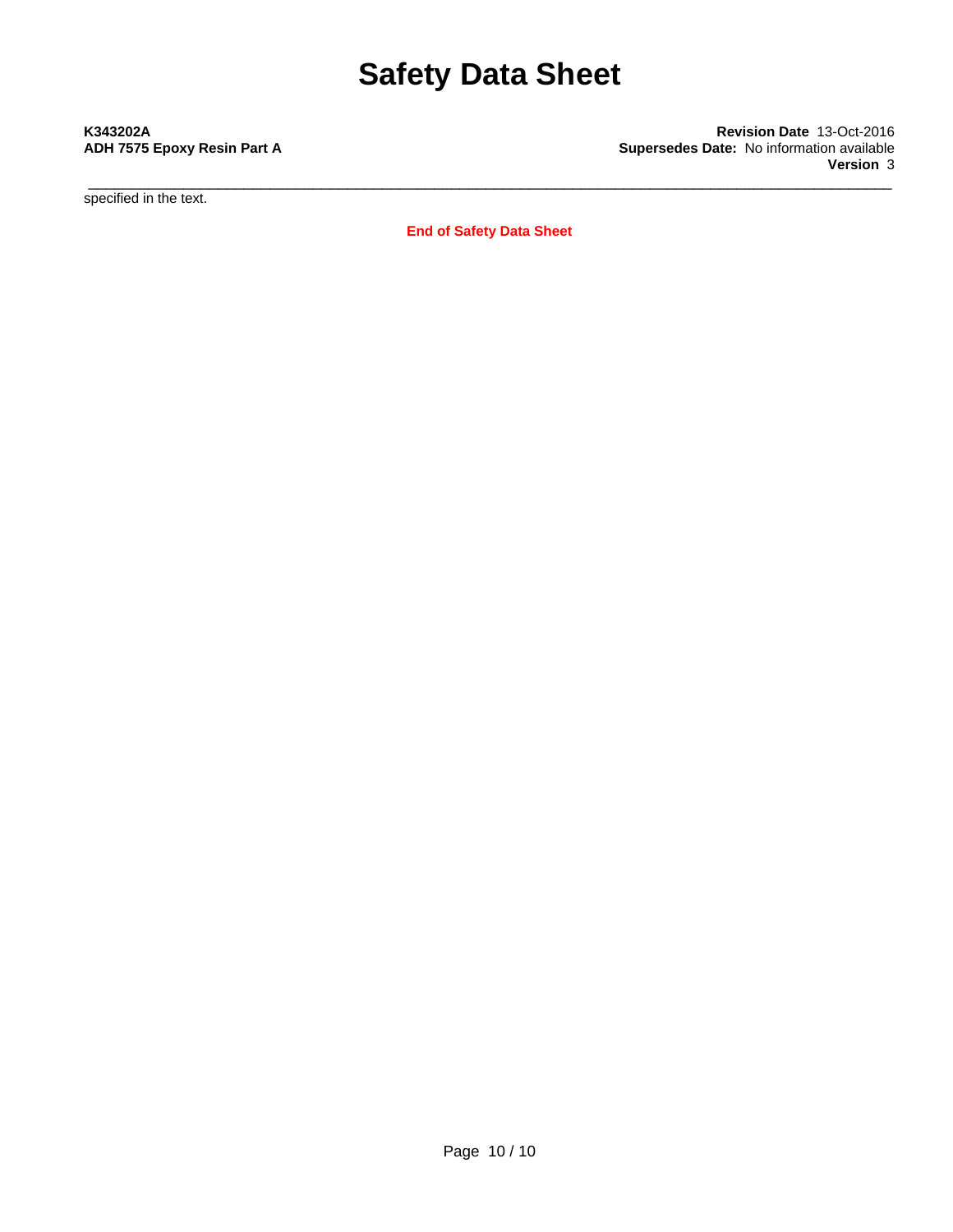\_\_\_\_\_\_\_\_\_\_\_\_\_\_\_\_\_\_\_\_\_\_\_\_\_\_\_\_\_\_\_\_\_\_\_\_\_\_\_\_\_\_\_\_\_\_\_\_\_\_\_\_\_\_\_\_\_\_\_\_\_\_\_\_\_\_\_\_\_\_\_\_\_\_\_\_\_\_\_\_\_\_\_\_\_\_\_\_\_\_\_\_\_ **K343202A Revision Date** 13-Oct-2016 **ADH 7575 Epoxy Resin Part A Supersedes Date:** No information available **Version** 3

specified in the text.

**End of Safety Data Sheet**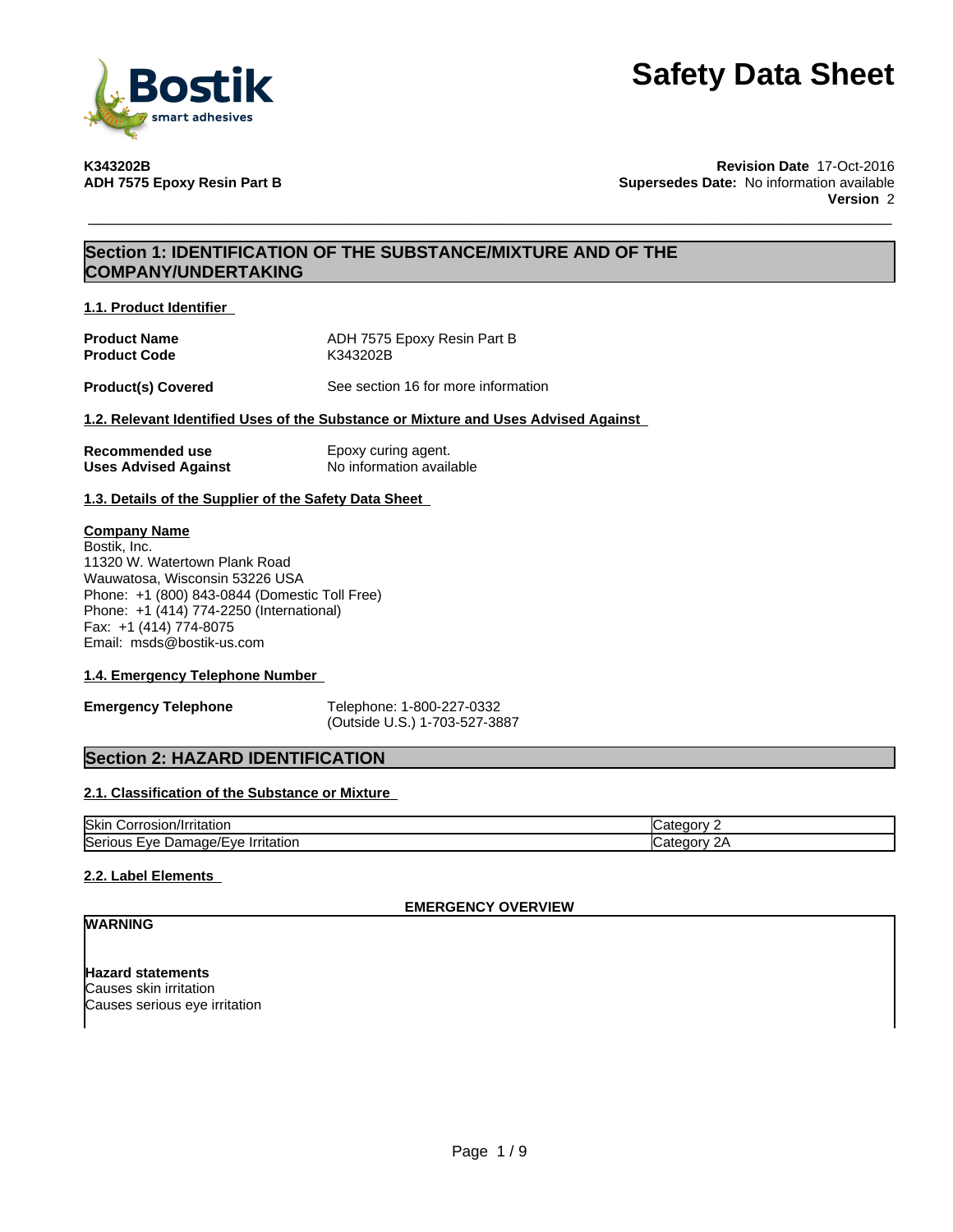

**K343202B Revision Date** 17-Oct-2016 **Supersedes Date:** No information available **Version** 2

## **Section 1: IDENTIFICATION OF THE SUBSTANCE/MIXTURE AND OF THE COMPANY/UNDERTAKING**

**1.1. Product Identifier**

| <b>Product Name</b> | ADH 7575 Epoxy Resin Part B |
|---------------------|-----------------------------|
| <b>Product Code</b> | K343202B                    |

**Product(s) Covered** See section 16 for more information

### **1.2. Relevant Identified Uses of the Substance or Mixture and Uses Advised Against**

| Recommended use             | Epoxy curing agent.      |
|-----------------------------|--------------------------|
| <b>Uses Advised Against</b> | No information available |

**1.3. Details of the Supplier of the Safety Data Sheet**

#### **Company Name**

Bostik, Inc. 11320 W. Watertown Plank Road Wauwatosa, Wisconsin 53226 USA Phone: +1 (800) 843-0844 (Domestic Toll Free) Phone: +1 (414) 774-2250 (International) Fax: +1 (414) 774-8075 Email: msds@bostik-us.com

#### **1.4. Emergency Telephone Number**

**Emergency Telephone** Telephone: 1-800-227-0332 (Outside U.S.) 1-703-527-3887

### **Section 2: HAZARD IDENTIFICATION**

#### **2.1. Classification of the Substance or Mixture**

| <b>Skin</b><br>$11.001 + 2.012$<br>wsion"<br>…or∙<br>/Irritatior        | זנזר |
|-------------------------------------------------------------------------|------|
| <b>Seric</b><br>- VE<br>$\cdots$<br>.<br>יומנ<br>ne<br>٬۷۵<br>ritatior. | זנזר |

#### **2.2. Label Elements**

### **EMERGENCY OVERVIEW**

## **WARNING**

**Hazard statements** Causes skin irritation Causes serious eye irritation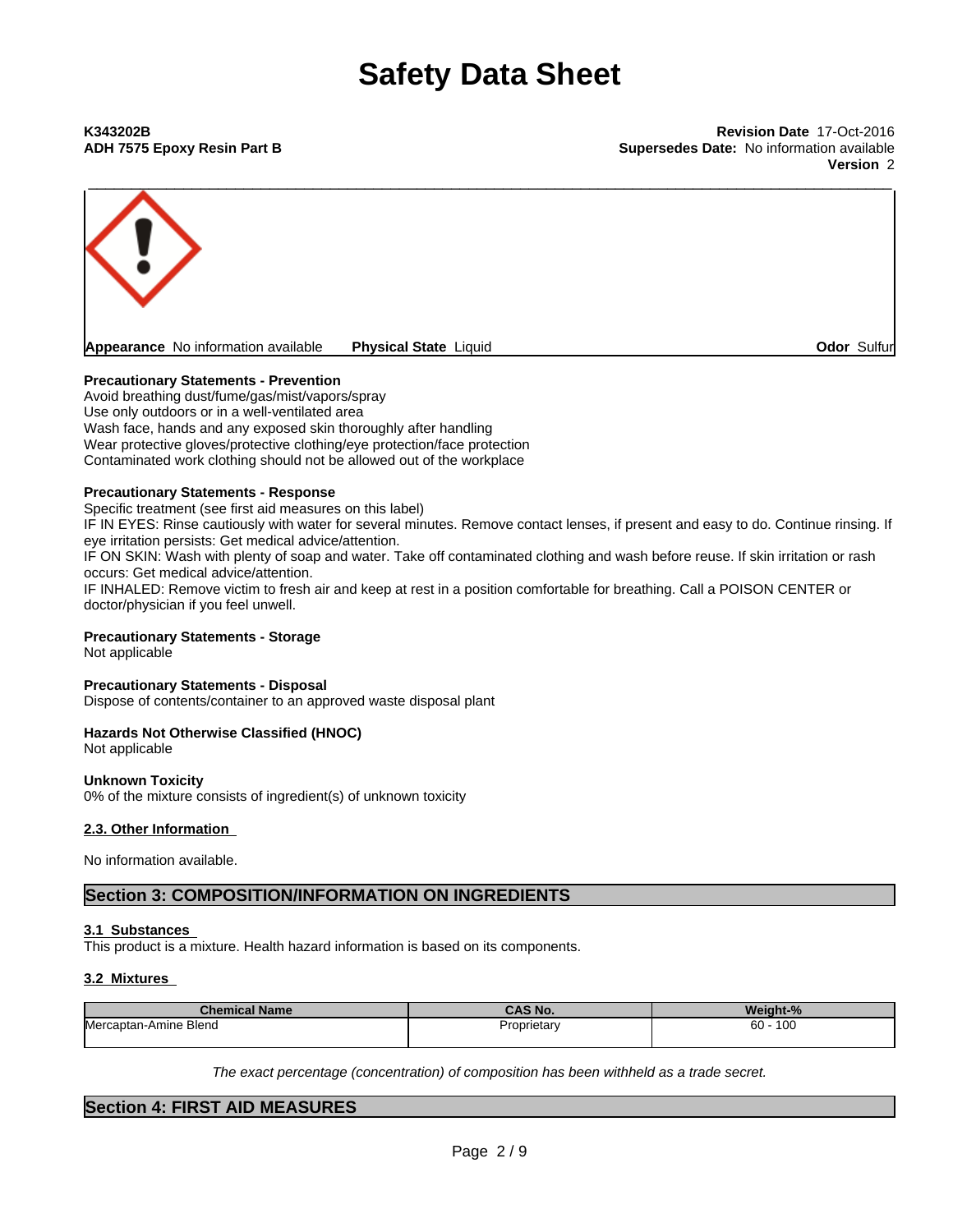**ADH 7575 Epoxy Resin Part B Supersedes Date:** No information available **Version** 2



#### **Precautionary Statements - Prevention**

Avoid breathing dust/fume/gas/mist/vapors/spray Use only outdoors or in a well-ventilated area Wash face, hands and any exposed skin thoroughly after handling Wear protective gloves/protective clothing/eye protection/face protection Contaminated work clothing should not be allowed out of the workplace

#### **Precautionary Statements - Response**

Specific treatment (see first aid measures on this label) IF IN EYES: Rinse cautiously with water for several minutes. Remove contact lenses, if present and easy to do. Continue rinsing. If eye irritation persists: Get medical advice/attention. IF ON SKIN: Wash with plenty of soap and water. Take off contaminated clothing and wash before reuse. If skin irritation or rash occurs: Get medical advice/attention. IF INHALED: Remove victim to fresh air and keep at rest in a position comfortable for breathing. Call a POISON CENTER or doctor/physician if you feel unwell.

### **Precautionary Statements - Storage**

Not applicable

#### **Precautionary Statements - Disposal**

Dispose of contents/container to an approved waste disposal plant

#### **Hazards Not Otherwise Classified (HNOC)**

Not applicable

#### **Unknown Toxicity**

0% of the mixture consists of ingredient(s) of unknown toxicity

#### **2.3. Other Information**

No information available.

### **Section 3: COMPOSITION/INFORMATION ON INGREDIENTS**

#### **3.1 Substances**

This product is a mixture. Health hazard information is based on its components.

#### **3.2 Mixtures**

| <b>Chemical Name</b>  | <b>SAC AL</b><br>'S NO. | Weight-%      |
|-----------------------|-------------------------|---------------|
| Mercaptan-Amine Blend | Proprietary             | 100<br>$60 -$ |

*The exact percentage (concentration) ofcomposition has been withheld as a trade secret.*

### **Section 4: FIRST AID MEASURES**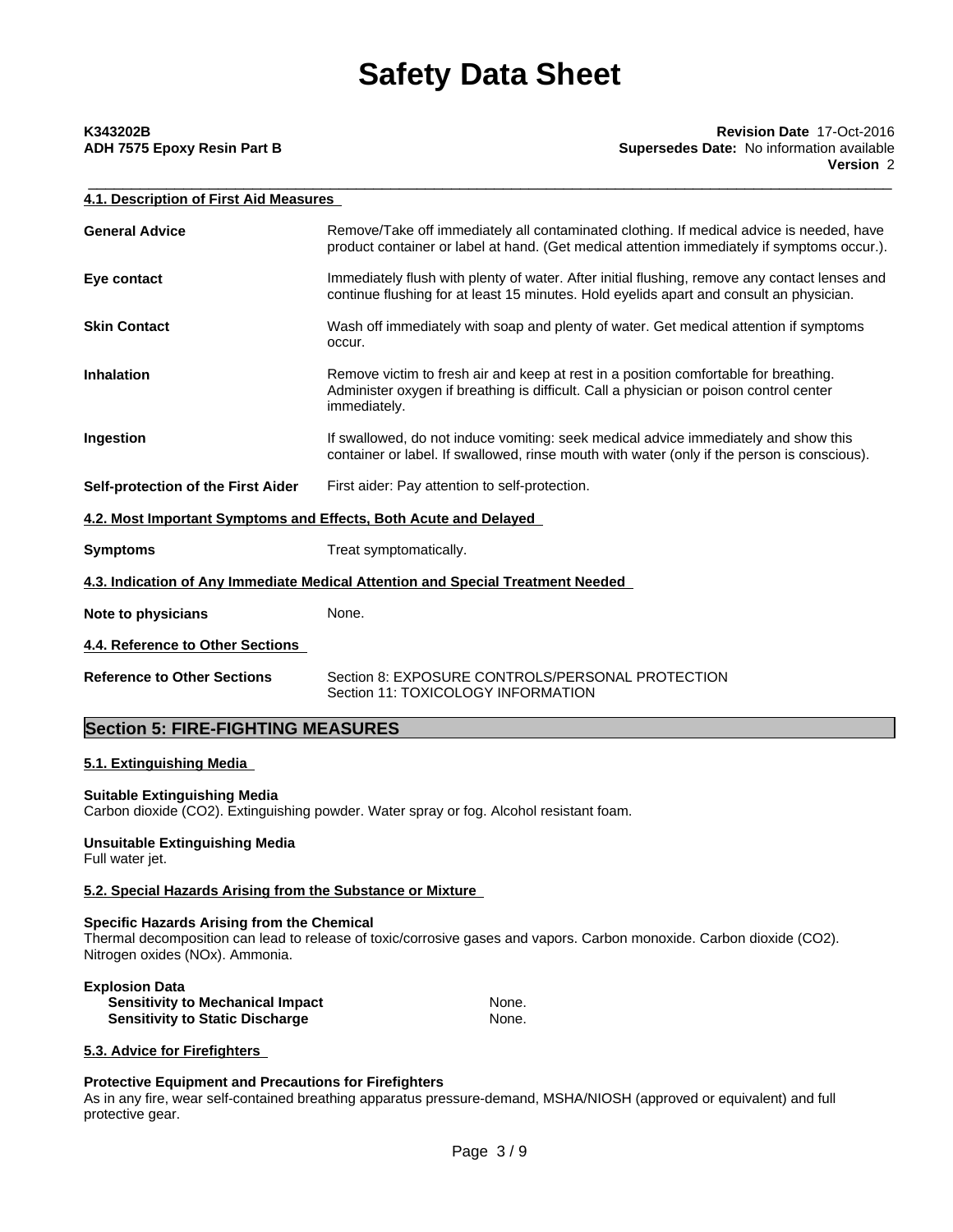# **ADH 7575 Epoxy Resin Part B Supersedes Date:** No information available

| K343202B                    | <b>Revision Date 17-Oct-2016</b>                 |
|-----------------------------|--------------------------------------------------|
| ADH 7575 Epoxy Resin Part B | <b>Supersedes Date:</b> No information available |
|                             | <b>Version 2</b>                                 |
|                             |                                                  |

| 4.1. Description of First Aid Measures |                                                                                                                                                                                                |  |
|----------------------------------------|------------------------------------------------------------------------------------------------------------------------------------------------------------------------------------------------|--|
| <b>General Advice</b>                  | Remove/Take off immediately all contaminated clothing. If medical advice is needed, have<br>product container or label at hand. (Get medical attention immediately if symptoms occur.).        |  |
| Eye contact                            | Immediately flush with plenty of water. After initial flushing, remove any contact lenses and<br>continue flushing for at least 15 minutes. Hold eyelids apart and consult an physician.       |  |
| <b>Skin Contact</b>                    | Wash off immediately with soap and plenty of water. Get medical attention if symptoms<br>occur.                                                                                                |  |
| <b>Inhalation</b>                      | Remove victim to fresh air and keep at rest in a position comfortable for breathing.<br>Administer oxygen if breathing is difficult. Call a physician or poison control center<br>immediately. |  |
| Ingestion                              | If swallowed, do not induce vomiting: seek medical advice immediately and show this<br>container or label. If swallowed, rinse mouth with water (only if the person is conscious).             |  |
| Self-protection of the First Aider     | First aider: Pay attention to self-protection.                                                                                                                                                 |  |
|                                        | 4.2. Most Important Symptoms and Effects, Both Acute and Delayed                                                                                                                               |  |
| <b>Symptoms</b>                        | Treat symptomatically.                                                                                                                                                                         |  |
|                                        | 4.3. Indication of Any Immediate Medical Attention and Special Treatment Needed                                                                                                                |  |
| Note to physicians                     | None.                                                                                                                                                                                          |  |
| 4.4. Reference to Other Sections       |                                                                                                                                                                                                |  |
| <b>Reference to Other Sections</b>     | Section 8: EXPOSURE CONTROLS/PERSONAL PROTECTION<br>Section 11: TOXICOLOGY INFORMATION                                                                                                         |  |

## **Section 5: FIRE-FIGHTING MEASURES**

### **5.1. Extinguishing Media**

#### **Suitable Extinguishing Media**

Carbon dioxide (CO2). Extinguishing powder. Water spray or fog. Alcohol resistant foam.

# **Unsuitable Extinguishing Media**

Full water jet.

### **5.2. Special Hazards Arising from the Substance or Mixture**

#### **Specific Hazards Arising from the Chemical**

Thermal decomposition can lead to release of toxic/corrosive gases and vapors. Carbon monoxide. Carbon dioxide (CO2). Nitrogen oxides (NOx). Ammonia.

#### **Explosion Data Sensitivity to Mechanical Impact Sensitivity to Static Discharge Mone. Sensitivity to Static Discharge Mone. Sensitivity to Static Discharge**

### **5.3. Advice for Firefighters**

### **Protective Equipment and Precautions for Firefighters**

As in any fire, wear self-contained breathing apparatus pressure-demand, MSHA/NIOSH (approved or equivalent) and full protective gear.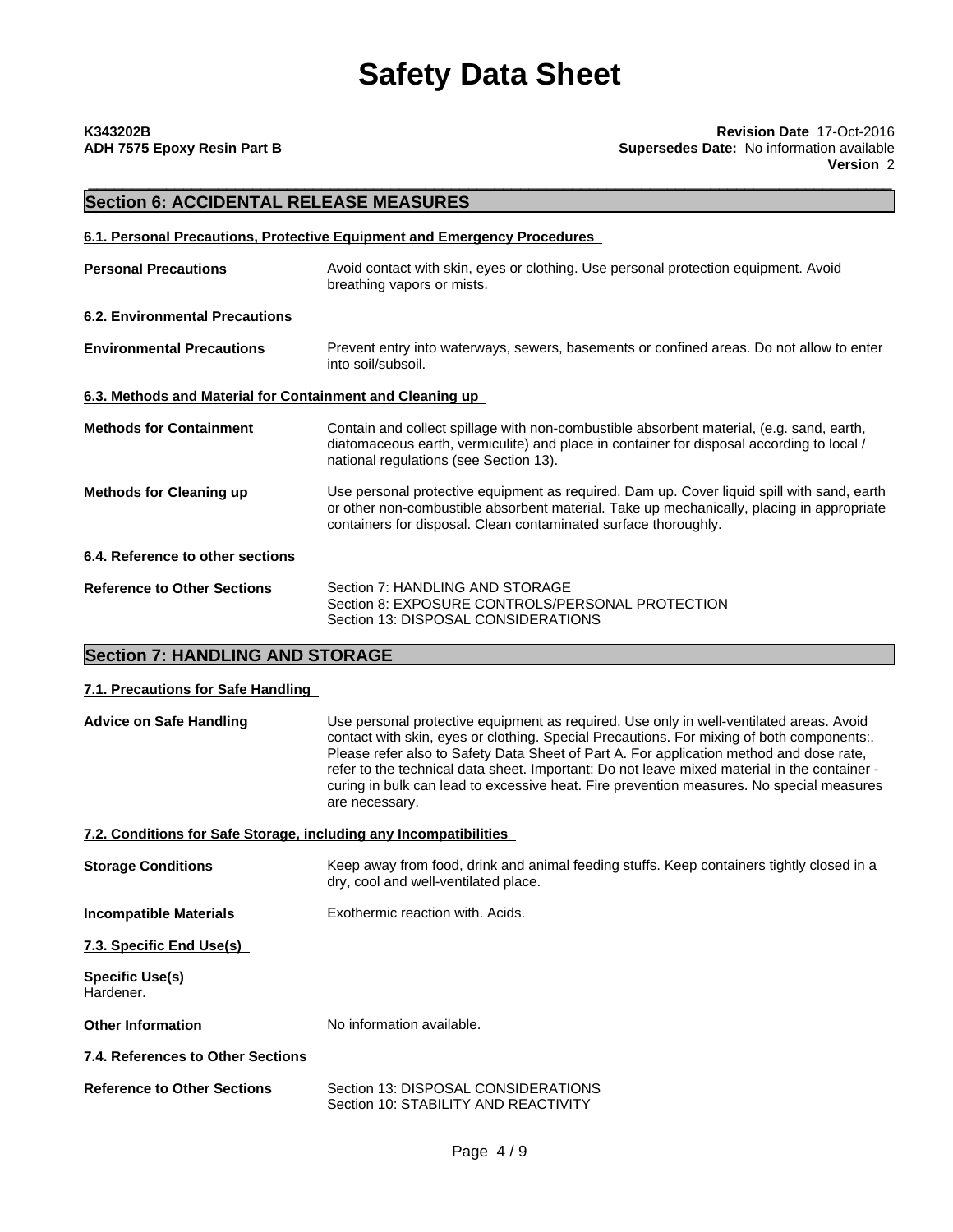# **Section 6: ACCIDENTAL RELEASE MEASURES**

#### **6.1. Personal Precautions, Protective Equipment and Emergency Procedures**

| <b>Personal Precautions</b>                               | Avoid contact with skin, eyes or clothing. Use personal protection equipment. Avoid<br>breathing vapors or mists.                                                                                                                                          |  |
|-----------------------------------------------------------|------------------------------------------------------------------------------------------------------------------------------------------------------------------------------------------------------------------------------------------------------------|--|
| <b>6.2. Environmental Precautions</b>                     |                                                                                                                                                                                                                                                            |  |
| <b>Environmental Precautions</b>                          | Prevent entry into waterways, sewers, basements or confined areas. Do not allow to enter<br>into soil/subsoil.                                                                                                                                             |  |
| 6.3. Methods and Material for Containment and Cleaning up |                                                                                                                                                                                                                                                            |  |
| <b>Methods for Containment</b>                            | Contain and collect spillage with non-combustible absorbent material, (e.g. sand, earth,<br>diatomaceous earth, vermiculite) and place in container for disposal according to local /<br>national regulations (see Section 13).                            |  |
| <b>Methods for Cleaning up</b>                            | Use personal protective equipment as required. Dam up. Cover liquid spill with sand, earth<br>or other non-combustible absorbent material. Take up mechanically, placing in appropriate<br>containers for disposal. Clean contaminated surface thoroughly. |  |
| 6.4. Reference to other sections                          |                                                                                                                                                                                                                                                            |  |
| <b>Reference to Other Sections</b>                        | Section 7: HANDLING AND STORAGE<br>Section 8: EXPOSURE CONTROLS/PERSONAL PROTECTION<br>Section 13: DISPOSAL CONSIDERATIONS                                                                                                                                 |  |

# **Section 7: HANDLING AND STORAGE**

#### **7.1. Precautions for Safe Handling**

| <b>Advice on Safe Handling</b>                                    | Use personal protective equipment as required. Use only in well-ventilated areas. Avoid<br>contact with skin, eyes or clothing. Special Precautions. For mixing of both components:.<br>Please refer also to Safety Data Sheet of Part A. For application method and dose rate.<br>refer to the technical data sheet. Important: Do not leave mixed material in the container -<br>curing in bulk can lead to excessive heat. Fire prevention measures. No special measures<br>are necessary. |  |
|-------------------------------------------------------------------|-----------------------------------------------------------------------------------------------------------------------------------------------------------------------------------------------------------------------------------------------------------------------------------------------------------------------------------------------------------------------------------------------------------------------------------------------------------------------------------------------|--|
| 7.2. Conditions for Safe Storage, including any Incompatibilities |                                                                                                                                                                                                                                                                                                                                                                                                                                                                                               |  |
| <b>Storage Conditions</b>                                         | Keep away from food, drink and animal feeding stuffs. Keep containers tightly closed in a<br>dry, cool and well-ventilated place.                                                                                                                                                                                                                                                                                                                                                             |  |
| <b>Incompatible Materials</b>                                     | Exothermic reaction with. Acids.                                                                                                                                                                                                                                                                                                                                                                                                                                                              |  |
| 7.3. Specific End Use(s)                                          |                                                                                                                                                                                                                                                                                                                                                                                                                                                                                               |  |
| Specific Use(s)<br>Hardener.                                      |                                                                                                                                                                                                                                                                                                                                                                                                                                                                                               |  |
| <b>Other Information</b>                                          | No information available.                                                                                                                                                                                                                                                                                                                                                                                                                                                                     |  |
| 7.4. References to Other Sections                                 |                                                                                                                                                                                                                                                                                                                                                                                                                                                                                               |  |
| Beforence to Other Cootions                                       | <b>Contion 12: DICDOCAL CONICIDED ATIONIC</b>                                                                                                                                                                                                                                                                                                                                                                                                                                                 |  |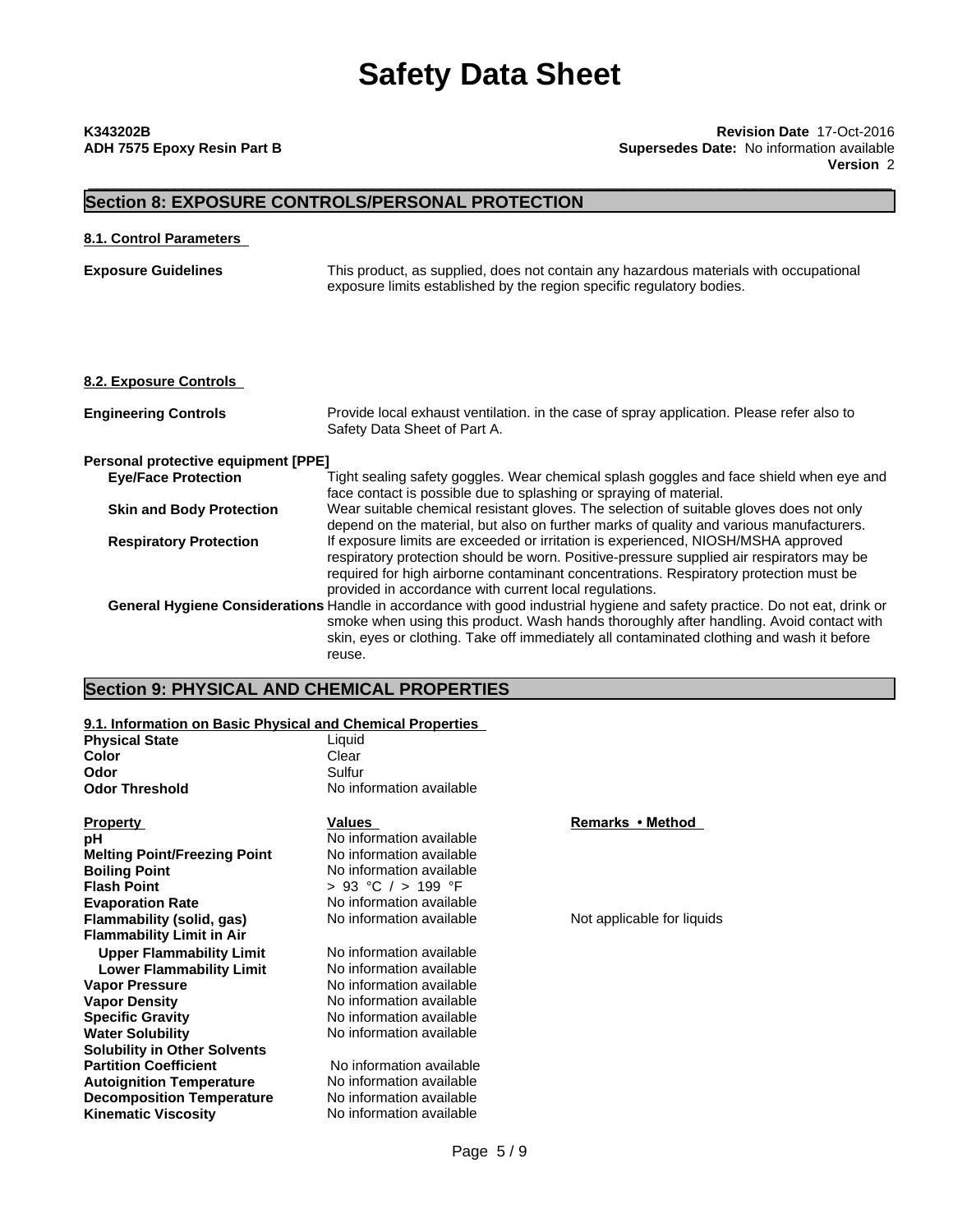# \_\_\_\_\_\_\_\_\_\_\_\_\_\_\_\_\_\_\_\_\_\_\_\_\_\_\_\_\_\_\_\_\_\_\_\_\_\_\_\_\_\_\_\_\_\_\_\_\_\_\_\_\_\_\_\_\_\_\_\_\_\_\_\_\_\_\_\_\_\_\_\_\_\_\_\_\_\_\_\_\_\_\_\_\_\_\_\_\_\_\_\_\_ **K343202B Revision Date** 17-Oct-2016 **ADH 7575 Epoxy Resin Part B Supersedes Date:** No information available **Version** 2

## **Section 8: EXPOSURE CONTROLS/PERSONAL PROTECTION**

### **8.1. Control Parameters**

**Exposure Guidelines** This product, as supplied, does not contain any hazardous materials with occupational exposure limits established by the region specific regulatory bodies.

#### **8.2. Exposure Controls**

| <b>Engineering Controls</b>         | Provide local exhaust ventilation. in the case of spray application. Please refer also to<br>Safety Data Sheet of Part A.                                                                                                                                                                                                        |
|-------------------------------------|----------------------------------------------------------------------------------------------------------------------------------------------------------------------------------------------------------------------------------------------------------------------------------------------------------------------------------|
| Personal protective equipment [PPE] |                                                                                                                                                                                                                                                                                                                                  |
| <b>Eye/Face Protection</b>          | Tight sealing safety goggles. Wear chemical splash goggles and face shield when eye and<br>face contact is possible due to splashing or spraying of material.                                                                                                                                                                    |
| <b>Skin and Body Protection</b>     | Wear suitable chemical resistant gloves. The selection of suitable gloves does not only<br>depend on the material, but also on further marks of quality and various manufacturers.                                                                                                                                               |
| <b>Respiratory Protection</b>       | If exposure limits are exceeded or irritation is experienced, NIOSH/MSHA approved<br>respiratory protection should be worn. Positive-pressure supplied air respirators may be<br>required for high airborne contaminant concentrations. Respiratory protection must be<br>provided in accordance with current local regulations. |
|                                     | General Hygiene Considerations Handle in accordance with good industrial hygiene and safety practice. Do not eat, drink or<br>smoke when using this product. Wash hands thoroughly after handling. Avoid contact with<br>skin, eyes or clothing. Take off immediately all contaminated clothing and wash it before<br>reuse.     |

# **Section 9: PHYSICAL AND CHEMICAL PROPERTIES**

#### **9.1. Information on Basic Physical and Chemical Properties**

| <b>Physical State</b>               | Liquid                   |                            |  |
|-------------------------------------|--------------------------|----------------------------|--|
| Color                               | Clear                    |                            |  |
| Odor                                | Sulfur                   |                            |  |
| <b>Odor Threshold</b>               | No information available |                            |  |
| <b>Property</b>                     | <b>Values</b>            | Remarks • Method           |  |
| рH                                  | No information available |                            |  |
| <b>Melting Point/Freezing Point</b> | No information available |                            |  |
| <b>Boiling Point</b>                | No information available |                            |  |
| <b>Flash Point</b>                  | > 93 °C / > 199 °F       |                            |  |
| <b>Evaporation Rate</b>             | No information available |                            |  |
| Flammability (solid, gas)           | No information available | Not applicable for liquids |  |
| <b>Flammability Limit in Air</b>    |                          |                            |  |
| <b>Upper Flammability Limit</b>     | No information available |                            |  |
| <b>Lower Flammability Limit</b>     | No information available |                            |  |
| <b>Vapor Pressure</b>               | No information available |                            |  |
| <b>Vapor Density</b>                | No information available |                            |  |
| <b>Specific Gravity</b>             | No information available |                            |  |
| <b>Water Solubility</b>             | No information available |                            |  |
| <b>Solubility in Other Solvents</b> |                          |                            |  |
| <b>Partition Coefficient</b>        | No information available |                            |  |
| <b>Autoignition Temperature</b>     | No information available |                            |  |
| <b>Decomposition Temperature</b>    | No information available |                            |  |
| <b>Kinematic Viscosity</b>          | No information available |                            |  |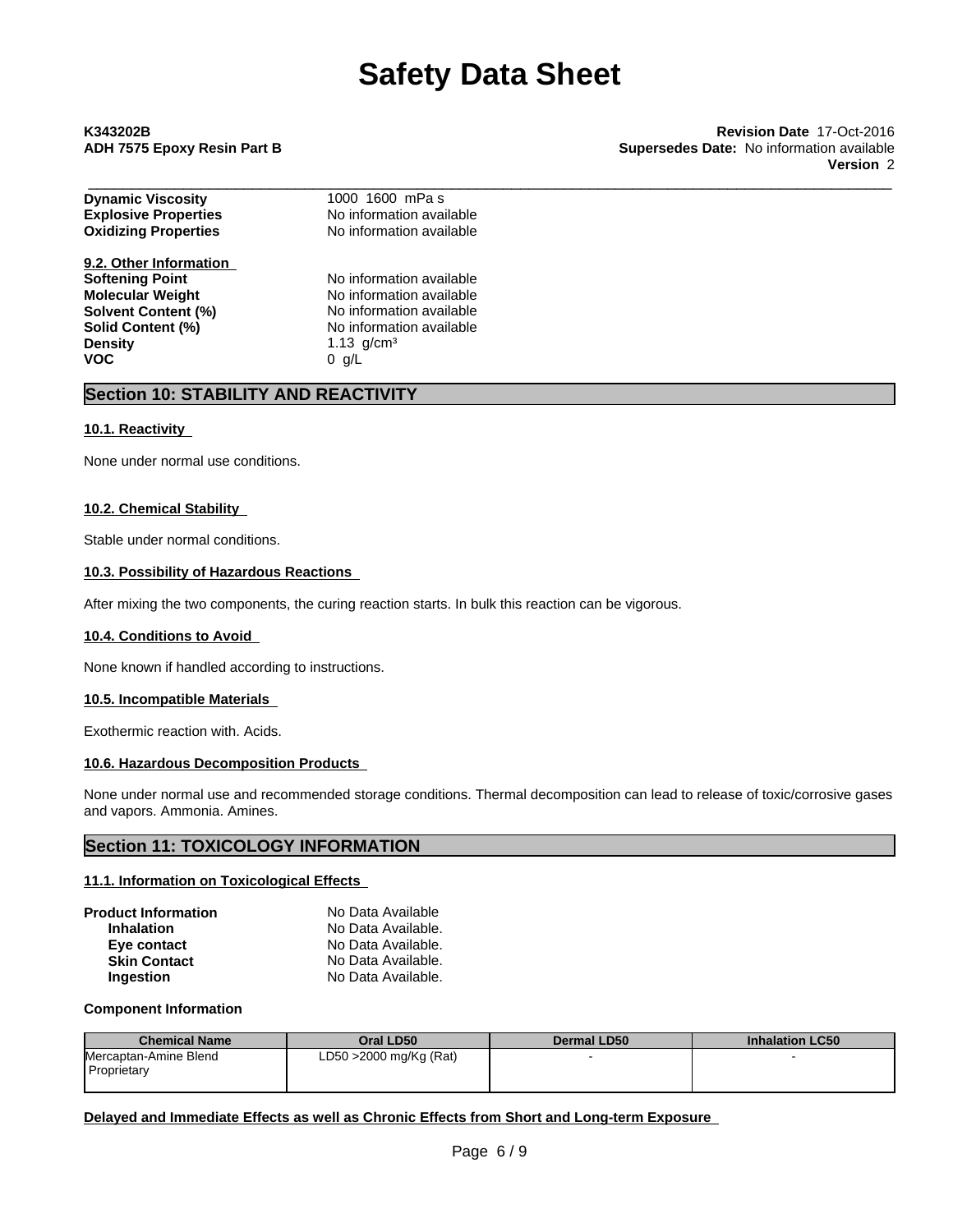\_\_\_\_\_\_\_\_\_\_\_\_\_\_\_\_\_\_\_\_\_\_\_\_\_\_\_\_\_\_\_\_\_\_\_\_\_\_\_\_\_\_\_\_\_\_\_\_\_\_\_\_\_\_\_\_\_\_\_\_\_\_\_\_\_\_\_\_\_\_\_\_\_\_\_\_\_\_\_\_\_\_\_\_\_\_\_\_\_\_\_\_\_ **K343202B Revision Date** 17-Oct-2016 **ADH 7575 Epoxy Resin Part B Supersedes Date:** No information available **Version** 2

| <b>Dynamic Viscosity</b>    | 1000 1600 mPas           |  |
|-----------------------------|--------------------------|--|
| <b>Explosive Properties</b> | No information available |  |
| <b>Oxidizing Properties</b> | No information available |  |
| 9.2. Other Information      |                          |  |
| <b>Softening Point</b>      | No information available |  |
| <b>Molecular Weight</b>     | No information available |  |
| <b>Solvent Content (%)</b>  | No information available |  |
| Solid Content (%)           | No information available |  |
| <b>Density</b>              | 1.13 $q/cm3$             |  |
| <b>VOC</b>                  | 0 g/L                    |  |
|                             |                          |  |

## **Section 10: STABILITY AND REACTIVITY**

#### **10.1. Reactivity**

None under normal use conditions.

#### **10.2. Chemical Stability**

Stable under normal conditions.

#### **10.3. Possibility of Hazardous Reactions**

After mixing the two components, the curing reaction starts. In bulk this reaction can be vigorous.

#### **10.4. Conditions to Avoid**

None known if handled according to instructions.

#### **10.5. Incompatible Materials**

Exothermic reaction with. Acids.

#### **10.6. Hazardous Decomposition Products**

None under normal use and recommended storage conditions. Thermal decomposition can lead to release of toxic/corrosive gases and vapors. Ammonia. Amines.

### **Section 11: TOXICOLOGY INFORMATION**

#### **11.1. Information on Toxicological Effects**

| Product Information | No Data Available  |  |
|---------------------|--------------------|--|
| <b>Inhalation</b>   | No Data Available. |  |
| Eye contact         | No Data Available. |  |
| <b>Skin Contact</b> | No Data Available. |  |
| <b>Ingestion</b>    | No Data Available. |  |

#### **Component Information**

| <b>Chemical Name</b>                   | Oral LD50              | Dermal LD50 | <b>Inhalation LC50</b> |
|----------------------------------------|------------------------|-------------|------------------------|
| Mercaptan-Amine Blend<br>l Proprietarv | LD50 >2000 mg/Kg (Rat) |             |                        |

**Delayed and Immediate Effects as well as Chronic Effects from Short and Long-term Exposure**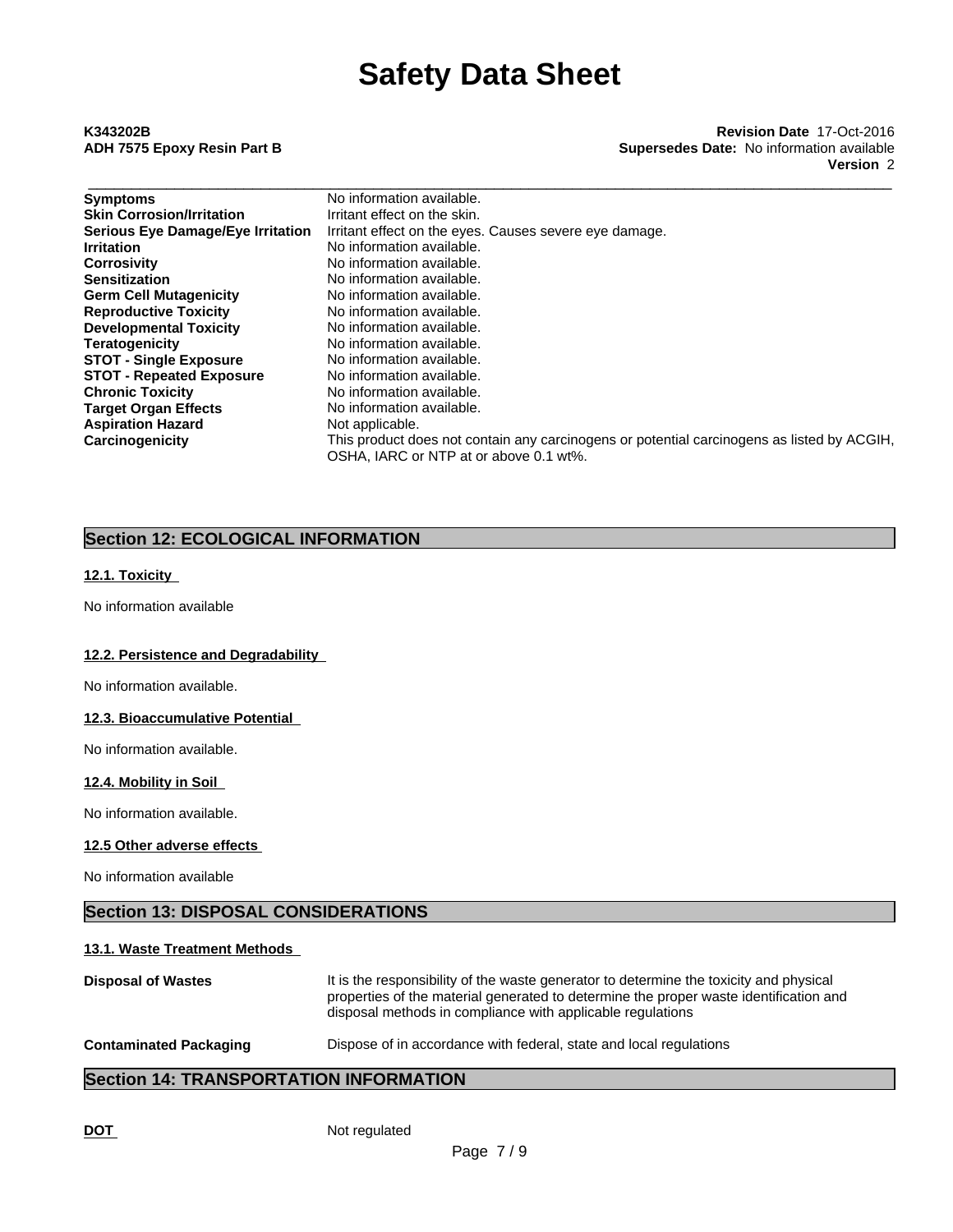# \_\_\_\_\_\_\_\_\_\_\_\_\_\_\_\_\_\_\_\_\_\_\_\_\_\_\_\_\_\_\_\_\_\_\_\_\_\_\_\_\_\_\_\_\_\_\_\_\_\_\_\_\_\_\_\_\_\_\_\_\_\_\_\_\_\_\_\_\_\_\_\_\_\_\_\_\_\_\_\_\_\_\_\_\_\_\_\_\_\_\_\_\_ **K343202B Revision Date** 17-Oct-2016 **ADH 7575 Epoxy Resin Part B Supersedes Date:** No information available **Version** 2

| <b>Symptoms</b>                          | No information available.                                                                  |
|------------------------------------------|--------------------------------------------------------------------------------------------|
| <b>Skin Corrosion/Irritation</b>         | Irritant effect on the skin.                                                               |
| <b>Serious Eye Damage/Eye Irritation</b> | Irritant effect on the eyes. Causes severe eye damage.                                     |
| <b>Irritation</b>                        | No information available.                                                                  |
| <b>Corrosivity</b>                       | No information available.                                                                  |
| <b>Sensitization</b>                     | No information available.                                                                  |
| <b>Germ Cell Mutagenicity</b>            | No information available.                                                                  |
| <b>Reproductive Toxicity</b>             | No information available.                                                                  |
| <b>Developmental Toxicity</b>            | No information available.                                                                  |
| <b>Teratogenicity</b>                    | No information available.                                                                  |
| <b>STOT - Single Exposure</b>            | No information available.                                                                  |
| <b>STOT - Repeated Exposure</b>          | No information available.                                                                  |
| <b>Chronic Toxicity</b>                  | No information available.                                                                  |
| <b>Target Organ Effects</b>              | No information available.                                                                  |
| <b>Aspiration Hazard</b>                 | Not applicable.                                                                            |
| Carcinogenicity                          | This product does not contain any carcinogens or potential carcinogens as listed by ACGIH, |
|                                          | OSHA, IARC or NTP at or above 0.1 wt%.                                                     |

# **Section 12: ECOLOGICAL INFORMATION**

## **12.1. Toxicity**

No information available

#### **12.2. Persistence and Degradability**

No information available.

#### **12.3. Bioaccumulative Potential**

No information available.

#### **12.4. Mobility in Soil**

No information available.

#### **12.5 Other adverse effects**

No information available

# **Section 13: DISPOSAL CONSIDERATIONS**

### **13.1. Waste Treatment Methods**

| <b>Disposal of Wastes</b>     | It is the responsibility of the waste generator to determine the toxicity and physical<br>properties of the material generated to determine the proper waste identification and<br>disposal methods in compliance with applicable regulations |
|-------------------------------|-----------------------------------------------------------------------------------------------------------------------------------------------------------------------------------------------------------------------------------------------|
| <b>Contaminated Packaging</b> | Dispose of in accordance with federal, state and local regulations                                                                                                                                                                            |

# **Section 14: TRANSPORTATION INFORMATION**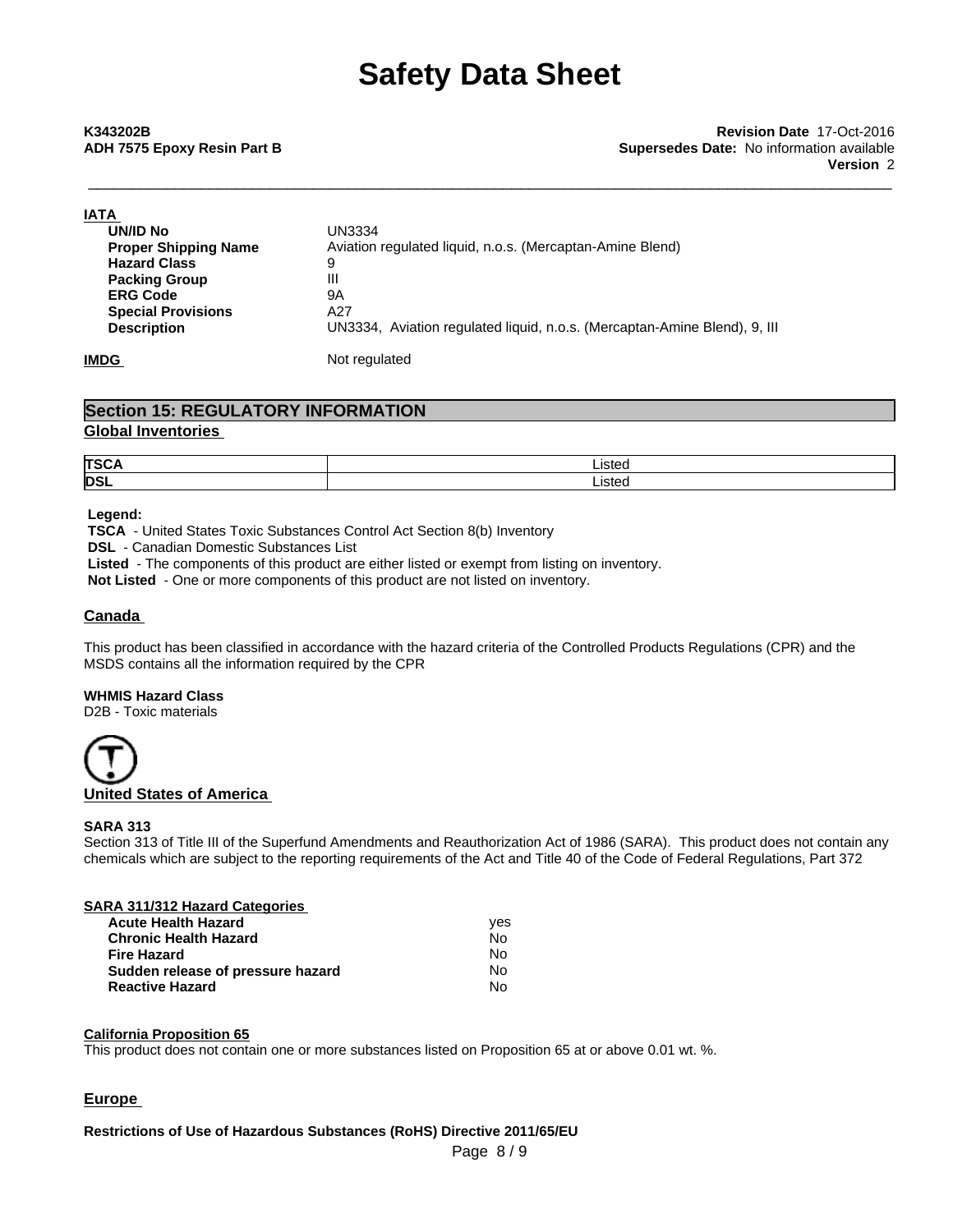| <b>IATA</b>                 |                                                                           |
|-----------------------------|---------------------------------------------------------------------------|
| UN/ID No                    | <b>UN3334</b>                                                             |
| <b>Proper Shipping Name</b> | Aviation regulated liquid, n.o.s. (Mercaptan-Amine Blend)                 |
| <b>Hazard Class</b>         | 9                                                                         |
| <b>Packing Group</b>        | Ш                                                                         |
| <b>ERG Code</b>             | 9A                                                                        |
| <b>Special Provisions</b>   | A27                                                                       |
| <b>Description</b>          | UN3334, Aviation regulated liguid, n.o.s. (Mercaptan-Amine Blend), 9, III |
| <b>IMDG</b>                 | Not regulated                                                             |

## **Section 15: REGULATORY INFORMATION Global Inventories**

| <b>ITSC</b> | .<br>isted |
|-------------|------------|
| <b>DSI</b>  | ısted<br>. |

#### **Legend:**

 **TSCA** - United States Toxic Substances Control Act Section 8(b) Inventory  **DSL** - Canadian Domestic Substances List  **Listed** - The components of this product are either listed or exempt from listing on inventory.

**Not Listed** - One or more components of this product are not listed on inventory.

#### **Canada**

This product has been classified in accordance with the hazard criteria of the Controlled Products Regulations (CPR) and the MSDS contains all the information required by the CPR

#### **WHMIS Hazard Class**

D2B - Toxic materials



#### **SARA 313**

Section 313 of Title III of the Superfund Amendments and Reauthorization Act of 1986 (SARA). This product does not contain any chemicals which are subject to the reporting requirements of the Act and Title 40 of the Code of Federal Regulations, Part 372

#### **SARA 311/312 Hazard Categories**

| <b>Acute Health Hazard</b>        | ves |  |
|-----------------------------------|-----|--|
| <b>Chronic Health Hazard</b>      | No. |  |
| <b>Fire Hazard</b>                | N٥  |  |
| Sudden release of pressure hazard | No. |  |
| <b>Reactive Hazard</b>            | No  |  |

#### **California Proposition 65**

This product does not contain one or more substances listed on Proposition 65 at or above 0.01 wt. %.

### **Europe**

### **Restrictions of Use of Hazardous Substances (RoHS) Directive 2011/65/EU**

Page 8 / 9